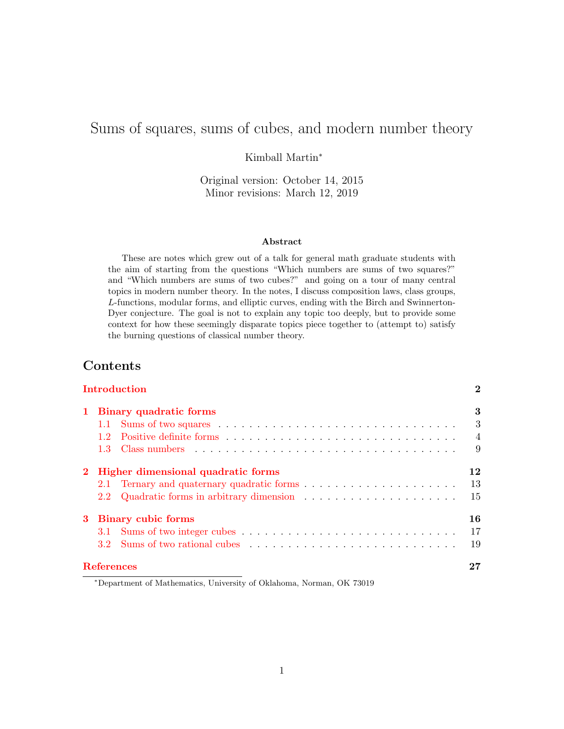# Sums of squares, sums of cubes, and modern number theory

Kimball Martin<sup>∗</sup>

Original version: October 14, 2015 Minor revisions: March 12, 2019

### Abstract

These are notes which grew out of a talk for general math graduate students with the aim of starting from the questions "Which numbers are sums of two squares?" and "Which numbers are sums of two cubes?" and going on a tour of many central topics in modern number theory. In the notes, I discuss composition laws, class groups, L-functions, modular forms, and elliptic curves, ending with the Birch and Swinnerton-Dyer conjecture. The goal is not to explain any topic too deeply, but to provide some context for how these seemingly disparate topics piece together to (attempt to) satisfy the burning questions of classical number theory.

# Contents

|              |                   | Introduction                                                                                                                                                                                                                   | $\bf{2}$       |
|--------------|-------------------|--------------------------------------------------------------------------------------------------------------------------------------------------------------------------------------------------------------------------------|----------------|
| $\mathbf{1}$ |                   | Binary quadratic forms                                                                                                                                                                                                         | 3              |
|              |                   |                                                                                                                                                                                                                                | 3              |
|              | 12                |                                                                                                                                                                                                                                | $\overline{4}$ |
|              |                   |                                                                                                                                                                                                                                | 9              |
| $2^{\circ}$  |                   | Higher dimensional quadratic forms                                                                                                                                                                                             | 12             |
|              |                   |                                                                                                                                                                                                                                | 13             |
|              | 2.2               |                                                                                                                                                                                                                                | 15             |
|              |                   | 3 Binary cubic forms                                                                                                                                                                                                           | 16             |
|              | 3.1               |                                                                                                                                                                                                                                | 17             |
|              | 3.2 <sub>1</sub>  | Sums of two rational cubes entering the set of the set of the set of the set of the set of the set of the set of the set of the set of the set of the set of the set of the set of the set of the set of the set of the set of | 19             |
|              | <b>References</b> |                                                                                                                                                                                                                                |                |

<sup>∗</sup>Department of Mathematics, University of Oklahoma, Norman, OK 73019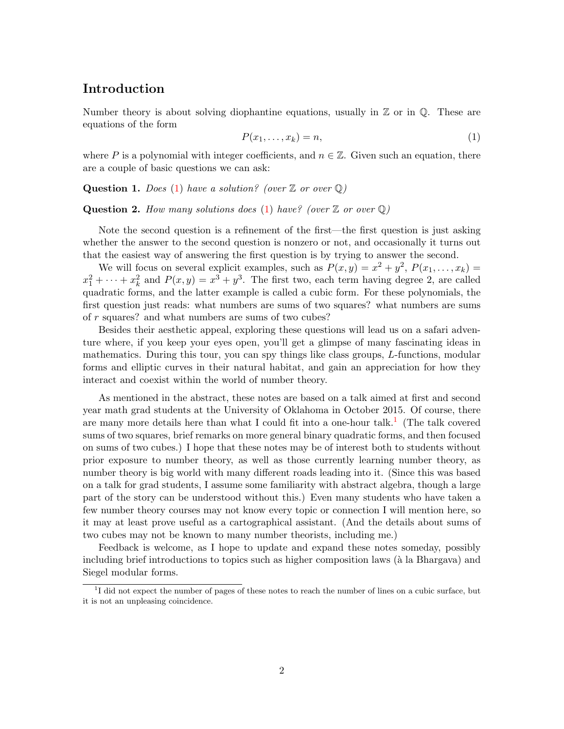# <span id="page-1-0"></span>Introduction

Number theory is about solving diophantine equations, usually in  $\mathbb Z$  or in  $\mathbb Q$ . These are equations of the form

<span id="page-1-1"></span>
$$
P(x_1, \ldots, x_k) = n,\tag{1}
$$

where P is a polynomial with integer coefficients, and  $n \in \mathbb{Z}$ . Given such an equation, there are a couple of basic questions we can ask:

<span id="page-1-3"></span>**Question 1.** Does [\(1\)](#page-1-1) have a solution? (over  $\mathbb{Z}$  or over  $\mathbb{Q}$ )

<span id="page-1-4"></span>**Question 2.** How many solutions does [\(1\)](#page-1-1) have? (over  $\mathbb{Z}$  or over  $\mathbb{Q}$ )

Note the second question is a refinement of the first—the first question is just asking whether the answer to the second question is nonzero or not, and occasionally it turns out that the easiest way of answering the first question is by trying to answer the second.

We will focus on several explicit examples, such as  $P(x,y) = x^2 + y^2$ ,  $P(x_1,...,x_k) =$  $x_1^2 + \cdots + x_k^2$  and  $P(x, y) = x^3 + y^3$ . The first two, each term having degree 2, are called quadratic forms, and the latter example is called a cubic form. For these polynomials, the first question just reads: what numbers are sums of two squares? what numbers are sums of r squares? and what numbers are sums of two cubes?

Besides their aesthetic appeal, exploring these questions will lead us on a safari adventure where, if you keep your eyes open, you'll get a glimpse of many fascinating ideas in mathematics. During this tour, you can spy things like class groups, L-functions, modular forms and elliptic curves in their natural habitat, and gain an appreciation for how they interact and coexist within the world of number theory.

As mentioned in the abstract, these notes are based on a talk aimed at first and second year math grad students at the University of Oklahoma in October 2015. Of course, there are many more details here than what I could fit into a one-hour talk.<sup>[1](#page-1-2)</sup> (The talk covered sums of two squares, brief remarks on more general binary quadratic forms, and then focused on sums of two cubes.) I hope that these notes may be of interest both to students without prior exposure to number theory, as well as those currently learning number theory, as number theory is big world with many different roads leading into it. (Since this was based on a talk for grad students, I assume some familiarity with abstract algebra, though a large part of the story can be understood without this.) Even many students who have taken a few number theory courses may not know every topic or connection I will mention here, so it may at least prove useful as a cartographical assistant. (And the details about sums of two cubes may not be known to many number theorists, including me.)

Feedback is welcome, as I hope to update and expand these notes someday, possibly including brief introductions to topics such as higher composition laws (à la Bhargava) and Siegel modular forms.

<span id="page-1-2"></span><sup>&</sup>lt;sup>1</sup>I did not expect the number of pages of these notes to reach the number of lines on a cubic surface, but it is not an unpleasing coincidence.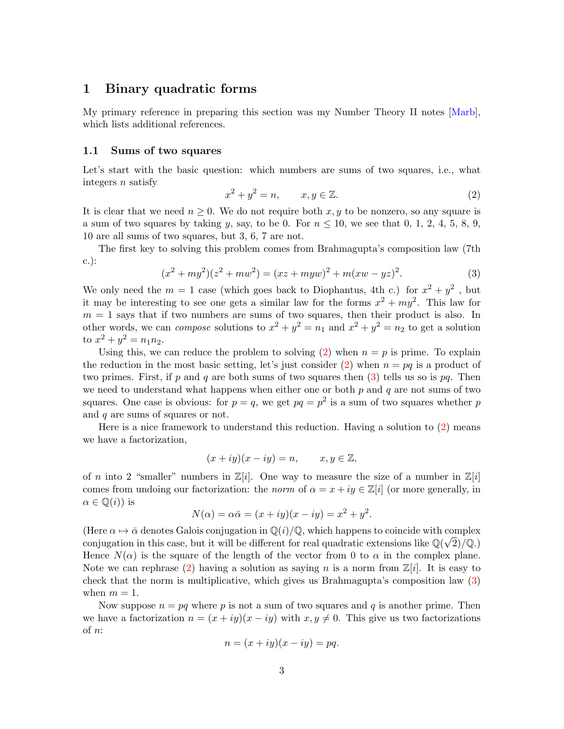### <span id="page-2-0"></span>1 Binary quadratic forms

My primary reference in preparing this section was my Number Theory II notes [\[Marb\]](#page-26-0), which lists additional references.

### <span id="page-2-1"></span>1.1 Sums of two squares

Let's start with the basic question: which numbers are sums of two squares, i.e., what integers  $n$  satisfy

<span id="page-2-2"></span>
$$
x^2 + y^2 = n, \qquad x, y \in \mathbb{Z}.
$$
 (2)

It is clear that we need  $n \geq 0$ . We do not require both  $x, y$  to be nonzero, so any square is a sum of two squares by taking y, say, to be 0. For  $n \leq 10$ , we see that 0, 1, 2, 4, 5, 8, 9, 10 are all sums of two squares, but 3, 6, 7 are not.

The first key to solving this problem comes from Brahmagupta's composition law (7th c.):

<span id="page-2-3"></span>
$$
(x2 + my2)(z2 + mw2) = (xz + myw)2 + m(xw - yz)2.
$$
 (3)

We only need the  $m = 1$  case (which goes back to Diophantus, 4th c.) for  $x^2 + y^2$ , but it may be interesting to see one gets a similar law for the forms  $x^2 + my^2$ . This law for  $m = 1$  says that if two numbers are sums of two squares, then their product is also. In other words, we can *compose* solutions to  $x^2 + y^2 = n_1$  and  $x^2 + y^2 = n_2$  to get a solution to  $x^2 + y^2 = n_1 n_2$ .

Using this, we can reduce the problem to solving  $(2)$  when  $n = p$  is prime. To explain the reduction in the most basic setting, let's just consider [\(2\)](#page-2-2) when  $n = pq$  is a product of two primes. First, if p and q are both sums of two squares then  $(3)$  tells us so is pq. Then we need to understand what happens when either one or both  $p$  and  $q$  are not sums of two squares. One case is obvious: for  $p = q$ , we get  $pq = p^2$  is a sum of two squares whether p and q are sums of squares or not.

Here is a nice framework to understand this reduction. Having a solution to [\(2\)](#page-2-2) means we have a factorization,

$$
(x+iy)(x-iy) = n, \qquad x, y \in \mathbb{Z},
$$

of n into 2 "smaller" numbers in  $\mathbb{Z}[i]$ . One way to measure the size of a number in  $\mathbb{Z}[i]$ comes from undoing our factorization: the norm of  $\alpha = x + iy \in \mathbb{Z}[i]$  (or more generally, in  $\alpha \in \mathbb{Q}(i)$  is

$$
N(\alpha) = \alpha \bar{\alpha} = (x + iy)(x - iy) = x^2 + y^2.
$$

(Here  $\alpha \mapsto \bar{\alpha}$  denotes Galois conjugation in  $\mathbb{Q}(i)/\mathbb{Q}$ , which happens to coincide with complex conjugation in this case, but it will be different for real quadratic extensions like  $\mathbb{Q}(\sqrt{2})/\mathbb{Q}$ .) Hence  $N(\alpha)$  is the square of the length of the vector from 0 to  $\alpha$  in the complex plane. Note we can rephrase [\(2\)](#page-2-2) having a solution as saying n is a norm from  $\mathbb{Z}[i]$ . It is easy to check that the norm is multiplicative, which gives us Brahmagupta's composition law [\(3\)](#page-2-3) when  $m = 1$ .

Now suppose  $n = pq$  where p is not a sum of two squares and q is another prime. Then we have a factorization  $n = (x + iy)(x - iy)$  with  $x, y \neq 0$ . This give us two factorizations of n:

$$
n = (x + iy)(x - iy) = pq.
$$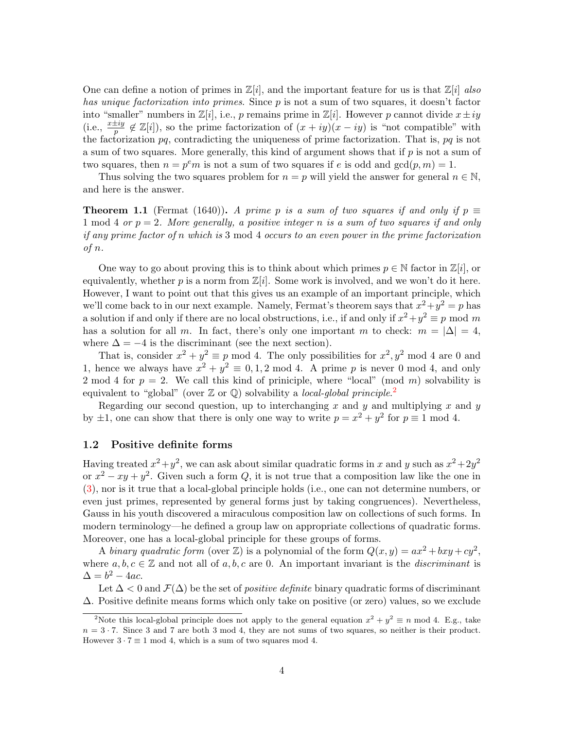One can define a notion of primes in  $\mathbb{Z}[i]$ , and the important feature for us is that  $\mathbb{Z}[i]$  also has unique factorization into primes. Since p is not a sum of two squares, it doesn't factor into "smaller" numbers in  $\mathbb{Z}[i]$ , i.e., p remains prime in  $\mathbb{Z}[i]$ . However p cannot divide  $x \pm iy$ (i.e.,  $\frac{x\pm iy}{p} \notin \mathbb{Z}[i]$ ), so the prime factorization of  $(x+iy)(x-iy)$  is "not compatible" with the factorization pq, contradicting the uniqueness of prime factorization. That is, pq is not a sum of two squares. More generally, this kind of argument shows that if  $p$  is not a sum of two squares, then  $n = p^e m$  is not a sum of two squares if e is odd and  $gcd(p, m) = 1$ .

Thus solving the two squares problem for  $n = p$  will yield the answer for general  $n \in \mathbb{N}$ , and here is the answer.

<span id="page-3-2"></span>**Theorem 1.1** (Fermat (1640)). A prime p is a sum of two squares if and only if  $p \equiv$ 1 mod 4 or  $p = 2$ . More generally, a positive integer n is a sum of two squares if and only if any prime factor of n which is 3 mod 4 occurs to an even power in the prime factorization of n.

One way to go about proving this is to think about which primes  $p \in \mathbb{N}$  factor in  $\mathbb{Z}[i]$ , or equivalently, whether p is a norm from  $\mathbb{Z}[i]$ . Some work is involved, and we won't do it here. However, I want to point out that this gives us an example of an important principle, which we'll come back to in our next example. Namely, Fermat's theorem says that  $x^2 + y^2 = p$  has a solution if and only if there are no local obstructions, i.e., if and only if  $x^2 + y^2 \equiv p \mod m$ has a solution for all m. In fact, there's only one important m to check:  $m = |\Delta| = 4$ , where  $\Delta = -4$  is the discriminant (see the next section).

That is, consider  $x^2 + y^2 \equiv p \mod 4$ . The only possibilities for  $x^2, y^2 \mod 4$  are 0 and 1, hence we always have  $x^2 + y^2 \equiv 0, 1, 2 \mod 4$ . A prime p is never 0 mod 4, and only 2 mod 4 for  $p = 2$ . We call this kind of priniciple, where "local" (mod m) solvability is equivalent to "global" (over  $\mathbb Z$  or  $\mathbb Q$ ) solvability a *local-global principle*.<sup>[2](#page-3-1)</sup>

Regarding our second question, up to interchanging x and y and multiplying x and y by  $\pm 1$ , one can show that there is only one way to write  $p = x^2 + y^2$  for  $p \equiv 1 \mod 4$ .

### <span id="page-3-0"></span>1.2 Positive definite forms

Having treated  $x^2 + y^2$ , we can ask about similar quadratic forms in x and y such as  $x^2 + 2y^2$ or  $x^2 - xy + y^2$ . Given such a form Q, it is not true that a composition law like the one in [\(3\)](#page-2-3), nor is it true that a local-global principle holds (i.e., one can not determine numbers, or even just primes, represented by general forms just by taking congruences). Nevertheless, Gauss in his youth discovered a miraculous composition law on collections of such forms. In modern terminology—he defined a group law on appropriate collections of quadratic forms. Moreover, one has a local-global principle for these groups of forms.

A binary quadratic form (over Z) is a polynomial of the form  $Q(x, y) = ax^2 + bxy + cy^2$ , where  $a, b, c \in \mathbb{Z}$  and not all of a, b, c are 0. An important invariant is the *discriminant* is  $\Delta = b^2 - 4ac.$ 

Let  $\Delta$  < 0 and  $\mathcal{F}(\Delta)$  be the set of *positive definite* binary quadratic forms of discriminant ∆. Positive definite means forms which only take on positive (or zero) values, so we exclude

<span id="page-3-1"></span><sup>&</sup>lt;sup>2</sup>Note this local-global principle does not apply to the general equation  $x^2 + y^2 \equiv n \mod 4$ . E.g., take  $n = 3 \cdot 7$ . Since 3 and 7 are both 3 mod 4, they are not sums of two squares, so neither is their product. However  $3 \cdot 7 \equiv 1 \mod 4$ , which is a sum of two squares mod 4.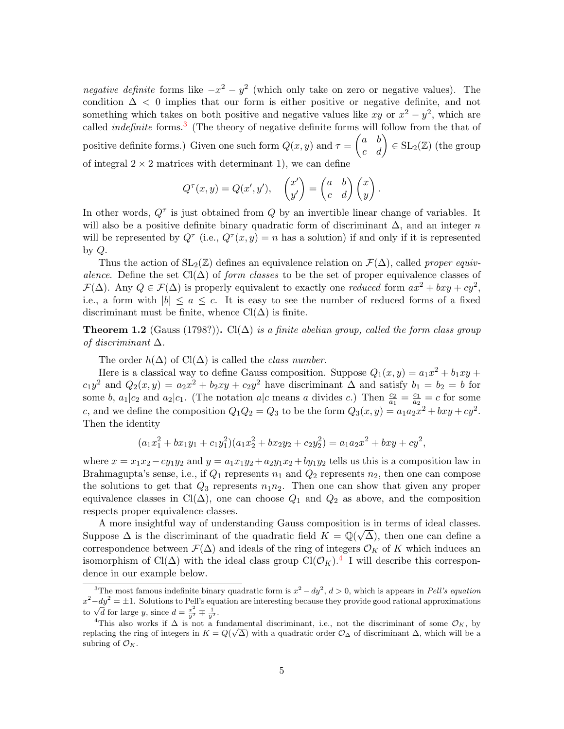negative definite forms like  $-x^2 - y^2$  (which only take on zero or negative values). The condition  $\Delta$  < 0 implies that our form is either positive or negative definite, and not something which takes on both positive and negative values like xy or  $x^2 - y^2$ , which are called *indefinite* forms.<sup>[3](#page-4-0)</sup> (The theory of negative definite forms will follow from the that of positive definite forms.) Given one such form  $Q(x, y)$  and  $\tau = \begin{pmatrix} a & b \\ c & d \end{pmatrix} \in SL_2(\mathbb{Z})$  (the group of integral  $2 \times 2$  matrices with determinant 1), we can define

$$
Q^{\tau}(x,y) = Q(x',y'), \quad \begin{pmatrix} x' \\ y' \end{pmatrix} = \begin{pmatrix} a & b \\ c & d \end{pmatrix} \begin{pmatrix} x \\ y \end{pmatrix}.
$$

In other words,  $Q^{\tau}$  is just obtained from Q by an invertible linear change of variables. It will also be a positive definite binary quadratic form of discriminant  $\Delta$ , and an integer n will be represented by  $Q^{\tau}$  (i.e.,  $Q^{\tau}(x, y) = n$  has a solution) if and only if it is represented by  $Q$ .

Thus the action of  $SL_2(\mathbb{Z})$  defines an equivalence relation on  $\mathcal{F}(\Delta)$ , called proper equivalence. Define the set  $Cl(\Delta)$  of form classes to be the set of proper equivalence classes of  $\mathcal{F}(\Delta)$ . Any  $Q \in \mathcal{F}(\Delta)$  is properly equivalent to exactly one reduced form  $ax^2 + bxy + cy^2$ , i.e., a form with  $|b| \le a \le c$ . It is easy to see the number of reduced forms of a fixed discriminant must be finite, whence  $Cl(\Delta)$  is finite.

**Theorem 1.2** (Gauss (1798?)). Cl( $\Delta$ ) is a finite abelian group, called the form class group of discriminant  $\Delta$ .

The order  $h(\Delta)$  of Cl( $\Delta$ ) is called the *class number*.

Here is a classical way to define Gauss composition. Suppose  $Q_1(x,y) = a_1x^2 + b_1xy +$  $c_1y^2$  and  $Q_2(x,y) = a_2x^2 + b_2xy + c_2y^2$  have discriminant  $\Delta$  and satisfy  $b_1 = b_2 = b$  for some b,  $a_1|c_2$  and  $a_2|c_1$ . (The notation  $a|c$  means a divides c.) Then  $\frac{c_2}{a_1} = \frac{c_1}{a_2}$  $\frac{c_1}{a_2} = c$  for some c, and we define the composition  $Q_1Q_2 = Q_3$  to be the form  $Q_3(x, y) = a_1a_2x^2 + bxy + cy^2$ . Then the identity

$$
(a_1x_1^2 + bx_1y_1 + c_1y_1^2)(a_1x_2^2 + bx_2y_2 + c_2y_2^2) = a_1a_2x^2 + bxy + cy^2,
$$

where  $x = x_1x_2 - cy_1y_2$  and  $y = a_1x_1y_2 + a_2y_1x_2 + by_1y_2$  tells us this is a composition law in Brahmagupta's sense, i.e., if  $Q_1$  represents  $n_1$  and  $Q_2$  represents  $n_2$ , then one can compose the solutions to get that  $Q_3$  represents  $n_1n_2$ . Then one can show that given any proper equivalence classes in Cl( $\Delta$ ), one can choose  $Q_1$  and  $Q_2$  as above, and the composition respects proper equivalence classes.

A more insightful way of understanding Gauss composition is in terms of ideal classes. √ Suppose  $\Delta$  is the discriminant of the quadratic field  $K = \mathbb{Q}(\sqrt{\Delta})$ , then one can define a correspondence between  $\mathcal{F}(\Delta)$  and ideals of the ring of integers  $\mathcal{O}_K$  of K which induces an isomorphism of Cl( $\Delta$ ) with the ideal class group Cl( $\mathcal{O}_K$ ).<sup>[4](#page-4-1)</sup> I will describe this correspondence in our example below.

<span id="page-4-0"></span><sup>&</sup>lt;sup>3</sup>The most famous indefinite binary quadratic form is  $x^2 - dy^2$ ,  $d > 0$ , which is appears in Pell's equation  $x^2 - dy^2 = \pm 1$ . Solutions to Pell's equation are interesting because they provide good rational approximations  $x - ay = \pm 1$ . Solutions to Feli s equ<br>to  $\sqrt{d}$  for large y, since  $d = \frac{x^2}{y^2} \mp \frac{1}{y^2}$ .

<span id="page-4-1"></span><sup>&</sup>lt;sup>4</sup>This also works if  $\Delta$  is not a fundamental discriminant, i.e., not the discriminant of some  $\mathcal{O}_K$ , by replacing the ring of integers in  $K = Q(\sqrt{\Delta})$  with a quadratic order  $\mathcal{O}_{\Delta}$  of discriminant  $\Delta$ , which will be a subring of  $\mathcal{O}_K$ .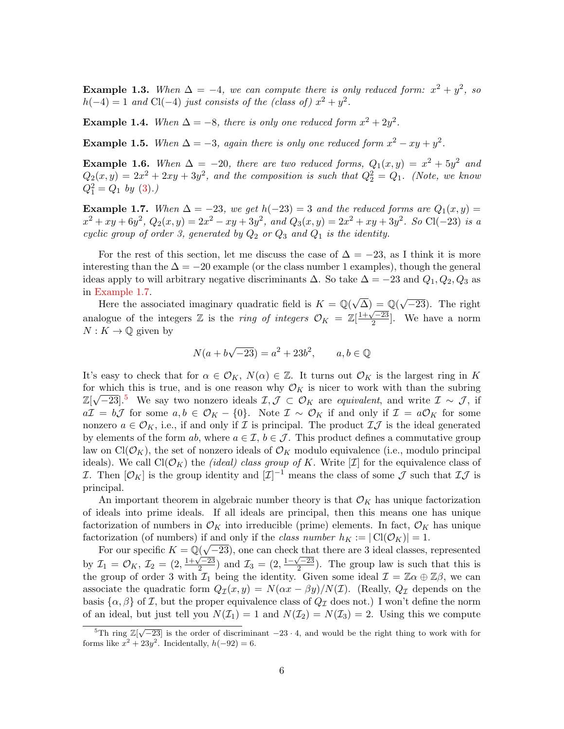**Example 1.3.** When  $\Delta = -4$ , we can compute there is only reduced form:  $x^2 + y^2$ , so  $h(-4) = 1$  and Cl(-4) just consists of the (class of)  $x^2 + y^2$ .

**Example 1.4.** When  $\Delta = -8$ , there is only one reduced form  $x^2 + 2y^2$ .

<span id="page-5-2"></span>**Example 1.5.** When  $\Delta = -3$ , again there is only one reduced form  $x^2 - xy + y^2$ .

**Example 1.6.** When  $\Delta = -20$ , there are two reduced forms,  $Q_1(x,y) = x^2 + 5y^2$  and  $Q_2(x,y) = 2x^2 + 2xy + 3y^2$ , and the composition is such that  $Q_2^2 = Q_1$ . (Note, we know  $Q_1^2 = Q_1$  by  $(3).$  $(3).$ 

<span id="page-5-0"></span>**Example 1.7.** When  $\Delta = -23$ , we get  $h(-23) = 3$  and the reduced forms are  $Q_1(x, y) =$  $x^2 + xy + 6y^2$ ,  $Q_2(x, y) = 2x^2 - xy + 3y^2$ , and  $Q_3(x, y) = 2x^2 + xy + 3y^2$ . So Cl(-23) is a cyclic group of order 3, generated by  $Q_2$  or  $Q_3$  and  $Q_1$  is the identity.

For the rest of this section, let me discuss the case of  $\Delta = -23$ , as I think it is more interesting than the  $\Delta = -20$  example (or the class number 1 examples), though the general ideas apply to will arbitrary negative discriminants  $\Delta$ . So take  $\Delta = -23$  and  $Q_1, Q_2, Q_3$  as in [Example 1.7.](#page-5-0)

Example 1.1.<br>Here the associated imaginary quadratic field is  $K = \mathbb{Q}(\sqrt{\Delta}) = \mathbb{Q}(\sqrt{\Delta})$  $\overline{-23}$ ). The right analogue of the integers Z is the *ring of integers*  $\mathcal{O}_K = \mathbb{Z}[\frac{1+\sqrt{-23}}{2}]$  $\frac{2}{2}$ . We have a norm  $N: K \to \mathbb{Q}$  given by

$$
N(a + b\sqrt{-23}) = a^2 + 23b^2, \qquad a, b \in \mathbb{Q}
$$

It's easy to check that for  $\alpha \in \mathcal{O}_K$ ,  $N(\alpha) \in \mathbb{Z}$ . It turns out  $\mathcal{O}_K$  is the largest ring in K for which this is true, and is one reason why  $\mathcal{O}_K$  is nicer to work with than the subring  $\mathbb{Z}[\sqrt{-23}]$ .<sup>[5](#page-5-1)</sup> We say two nonzero ideals  $\mathcal{I}, \mathcal{J} \subset \mathcal{O}_K$  are equivalent, and write  $\mathcal{I} \sim \mathcal{J}$ , if  $a\mathcal{I} = b\mathcal{J}$  for some  $a, b \in \mathcal{O}_K - \{0\}$ . Note  $\mathcal{I} \sim \mathcal{O}_K$  if and only if  $\mathcal{I} = a\mathcal{O}_K$  for some nonzero  $a \in \mathcal{O}_K$ , i.e., if and only if  $\mathcal I$  is principal. The product  $\mathcal I\mathcal J$  is the ideal generated by elements of the form ab, where  $a \in \mathcal{I}, b \in \mathcal{J}$ . This product defines a commutative group law on  $Cl(\mathcal{O}_K)$ , the set of nonzero ideals of  $\mathcal{O}_K$  modulo equivalence (i.e., modulo principal ideals). We call  $Cl(\mathcal{O}_K)$  the *(ideal) class group of K*. Write [*I*] for the equivalence class of I. Then  $[\mathcal{O}_K]$  is the group identity and  $[\mathcal{I}]^{-1}$  means the class of some  $\mathcal J$  such that  $\mathcal{I}\mathcal{J}$  is principal.

An important theorem in algebraic number theory is that  $\mathcal{O}_K$  has unique factorization of ideals into prime ideals. If all ideals are principal, then this means one has unique factorization of numbers in  $\mathcal{O}_K$  into irreducible (prime) elements. In fact,  $\mathcal{O}_K$  has unique factorization (of numbers) if and only if the class number  $h_K := |\text{Cl}(\mathcal{O}_K)| = 1$ .

For our specific  $K = \mathbb{Q}(\sqrt{-23})$ , one can check that there are 3 ideal classes, represented by  $\mathcal{I}_1 = \mathcal{O}_K, \mathcal{I}_2 = (2, \frac{1+\sqrt{-23}}{2})$  $\left(\frac{\sqrt{-23}}{2}\right)$  and  $\mathcal{I}_3 = \left(2, \frac{1-\sqrt{-23}}{2}\right)$  $\frac{\sqrt{2}}{2}$ ). The group law is such that this is the group of order 3 with  $\mathcal{I}_1$  being the identity. Given some ideal  $\mathcal{I} = \mathbb{Z}\alpha \oplus \mathbb{Z}\beta$ , we can associate the quadratic form  $Q_{\mathcal{I}}(x, y) = N(\alpha x - \beta y)/N(\mathcal{I})$ . (Really,  $Q_{\mathcal{I}}$  depends on the basis  $\{\alpha, \beta\}$  of I, but the proper equivalence class of  $Q_{\mathcal{I}}$  does not.) I won't define the norm of an ideal, but just tell you  $N(\mathcal{I}_1) = 1$  and  $N(\mathcal{I}_2) = N(\mathcal{I}_3) = 2$ . Using this we compute

<span id="page-5-1"></span> $^{5}$ Th ring  $\mathbb{Z}[\sqrt{-23}]$  is the order of discriminant  $-23 \cdot 4$ , and would be the right thing to work with for forms like  $x^2 + 23y^2$ . Incidentally,  $h(-92) = 6$ .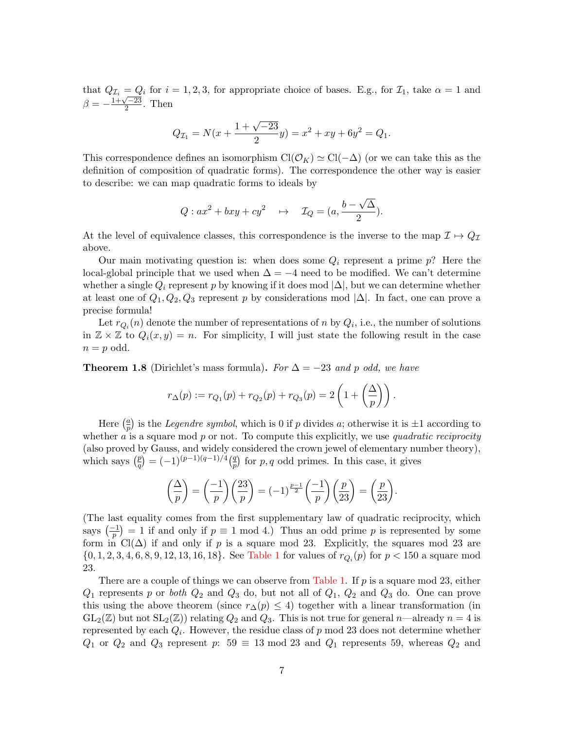that  $Q_{\mathcal{I}_i} = Q_i$  for  $i = 1, 2, 3$ , for appropriate choice of bases. E.g., for  $\mathcal{I}_1$ , take  $\alpha = 1$  and  $\beta = -\frac{1+\sqrt{-23}}{2}$  $\frac{\sqrt{-23}}{2}$ . Then

$$
Q_{\mathcal{I}_1} = N(x + \frac{1 + \sqrt{-23}}{2}y) = x^2 + xy + 6y^2 = Q_1.
$$

This correspondence defines an isomorphism  $Cl(\mathcal{O}_K) \simeq Cl(-\Delta)$  (or we can take this as the definition of composition of quadratic forms). The correspondence the other way is easier to describe: we can map quadratic forms to ideals by

$$
Q: ax2 + bxy + cy2 \rightarrow \mathcal{I}_Q = (a, \frac{b - \sqrt{\Delta}}{2}).
$$

At the level of equivalence classes, this correspondence is the inverse to the map  $\mathcal{I} \mapsto Q_{\mathcal{I}}$ above.

Our main motivating question is: when does some  $Q_i$  represent a prime  $p$ ? Here the local-global principle that we used when  $\Delta = -4$  need to be modified. We can't determine whether a single  $Q_i$  represent p by knowing if it does mod  $|\Delta|$ , but we can determine whether at least one of  $Q_1, Q_2, Q_3$  represent p by considerations mod  $|\Delta|$ . In fact, one can prove a precise formula!

Let  $r_{Q_i}(n)$  denote the number of representations of n by  $Q_i$ , i.e., the number of solutions in  $\mathbb{Z} \times \mathbb{Z}$  to  $Q_i(x, y) = n$ . For simplicity, I will just state the following result in the case  $n = p$  odd.

**Theorem 1.8** (Dirichlet's mass formula). For  $\Delta = -23$  and p odd, we have

$$
r_{\Delta}(p) := r_{Q_1}(p) + r_{Q_2}(p) + r_{Q_3}(p) = 2\left(1 + \left(\frac{\Delta}{p}\right)\right).
$$

Here  $\left(\frac{a}{n}\right)$  $\frac{a}{p}$ ) is the *Legendre symbol*, which is 0 if p divides a; otherwise it is  $\pm 1$  according to whether  $\alpha$  is a square mod  $p$  or not. To compute this explicitly, we use quadratic reciprocity (also proved by Gauss, and widely considered the crown jewel of elementary number theory), which says  $\left(\frac{p}{q}\right)$  $\binom{p}{q} = (-1)^{(p-1)(q-1)/4} \binom{q}{p}$  $\binom{q}{p}$  for p, q odd primes. In this case, it gives

$$
\left(\frac{\Delta}{p}\right) = \left(\frac{-1}{p}\right)\left(\frac{23}{p}\right) = (-1)^{\frac{p-1}{2}}\left(\frac{-1}{p}\right)\left(\frac{p}{23}\right) = \left(\frac{p}{23}\right).
$$

(The last equality comes from the first supplementary law of quadratic reciprocity, which says  $\left(\frac{-1}{p}\right) = 1$  if and only if  $p \equiv 1 \mod 4$ .) Thus an odd prime p is represented by some form in  $Cl(\Delta)$  if and only if p is a square mod 23. Explicitly, the squares mod 23 are  $\{0, 1, 2, 3, 4, 6, 8, 9, 12, 13, 16, 18\}$ . See [Table 1](#page-7-0) for values of  $r_{Q_i}(p)$  for  $p < 150$  a square mod 23.

There are a couple of things we can observe from [Table 1.](#page-7-0) If  $p$  is a square mod 23, either  $Q_1$  represents p or both  $Q_2$  and  $Q_3$  do, but not all of  $Q_1$ ,  $Q_2$  and  $Q_3$  do. One can prove this using the above theorem (since  $r\Delta(p) \leq 4$ ) together with a linear transformation (in  $GL_2(\mathbb{Z})$  but not  $SL_2(\mathbb{Z})$  relating  $Q_2$  and  $Q_3$ . This is not true for general n—already  $n = 4$  is represented by each  $Q_i$ . However, the residue class of p mod 23 does not determine whether  $Q_1$  or  $Q_2$  and  $Q_3$  represent p: 59  $\equiv$  13 mod 23 and  $Q_1$  represents 59, whereas  $Q_2$  and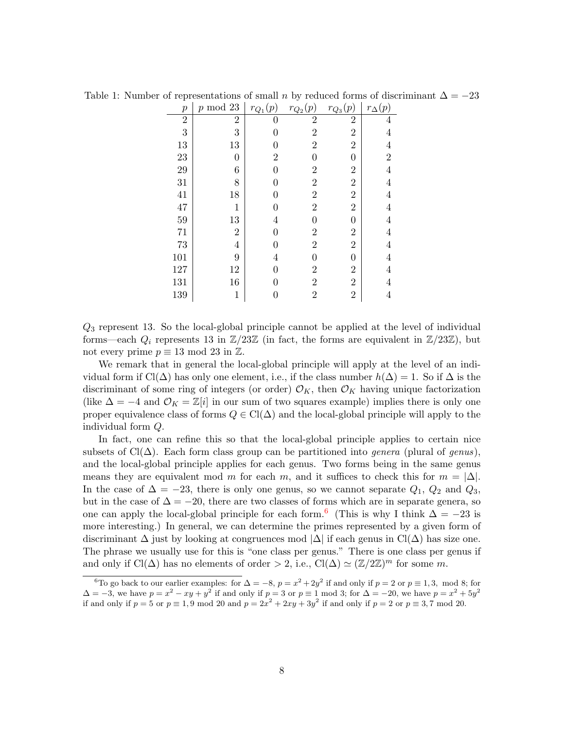| $\boldsymbol{p}$ | $p \mod 23$    | $r_{Q_1}(p)$   | $r_{Q_2}(p)$   | (p)<br>$r_{\mathcal{Q}_{3}}$ | $r_{\Delta}(p)$ |
|------------------|----------------|----------------|----------------|------------------------------|-----------------|
| $\overline{2}$   | $\overline{2}$ | $\Omega$       | $\overline{2}$ | $\overline{2}$               | 4               |
| 3                | 3              | 0              | $\overline{2}$ | $\overline{2}$               | 4               |
| 13               | 13             | $\overline{0}$ | $\overline{2}$ | $\overline{2}$               | 4               |
| $\bf 23$         | $\overline{0}$ | $\overline{2}$ | $\Omega$       | $\theta$                     | $\overline{2}$  |
| 29               | 6              | 0              | $\overline{2}$ | $\overline{2}$               | 4               |
| 31               | 8              | $\overline{0}$ | $\overline{2}$ | $\overline{2}$               | $\overline{4}$  |
| 41               | 18             | 0              | $\overline{2}$ | $\overline{2}$               | 4               |
| 47               | $\mathbf{1}$   | 0              | $\overline{2}$ | $\overline{2}$               | 4               |
| 59               | 13             | $\overline{4}$ | $\theta$       | $\overline{0}$               | 4               |
| 71               | $\overline{2}$ | 0              | $\overline{2}$ | $\overline{2}$               | 4               |
| 73               | $\overline{4}$ | 0              | $\overline{2}$ | $\overline{2}$               | 4               |
| 101              | 9              | $\overline{4}$ | $\theta$       | $\overline{0}$               | 4               |
| 127              | 12             | $\overline{0}$ | $\overline{2}$ | $\overline{2}$               | 4               |
| 131              | 16             | 0              | $\overline{2}$ | $\overline{2}$               | 4               |
| 139              | $\mathbf{1}$   | 0              | $\overline{2}$ | $\overline{2}$               | 4               |

<span id="page-7-0"></span>Table 1: Number of representations of small n by reduced forms of discriminant  $\Delta = -23$ 

Q<sup>3</sup> represent 13. So the local-global principle cannot be applied at the level of individual forms—each  $Q_i$  represents 13 in  $\mathbb{Z}/23\mathbb{Z}$  (in fact, the forms are equivalent in  $\mathbb{Z}/23\mathbb{Z}$ ), but not every prime  $p \equiv 13 \mod 23$  in  $\mathbb{Z}$ .

We remark that in general the local-global principle will apply at the level of an individual form if  $Cl(\Delta)$  has only one element, i.e., if the class number  $h(\Delta) = 1$ . So if  $\Delta$  is the discriminant of some ring of integers (or order)  $\mathcal{O}_K$ , then  $\mathcal{O}_K$  having unique factorization (like  $\Delta = -4$  and  $\mathcal{O}_K = \mathbb{Z}[i]$  in our sum of two squares example) implies there is only one proper equivalence class of forms  $Q \in \text{Cl}(\Delta)$  and the local-global principle will apply to the individual form Q.

In fact, one can refine this so that the local-global principle applies to certain nice subsets of  $Cl(\Delta)$ . Each form class group can be partitioned into *genera* (plural of *genus*), and the local-global principle applies for each genus. Two forms being in the same genus means they are equivalent mod m for each m, and it suffices to check this for  $m = |\Delta|$ . In the case of  $\Delta = -23$ , there is only one genus, so we cannot separate  $Q_1$ ,  $Q_2$  and  $Q_3$ , but in the case of  $\Delta = -20$ , there are two classes of forms which are in separate genera, so one can apply the local-global principle for each form.<sup>[6](#page-7-1)</sup> (This is why I think  $\Delta = -23$  is more interesting.) In general, we can determine the primes represented by a given form of discriminant  $\Delta$  just by looking at congruences mod  $|\Delta|$  if each genus in Cl( $\Delta$ ) has size one. The phrase we usually use for this is "one class per genus." There is one class per genus if and only if  $Cl(\Delta)$  has no elements of order > 2, i.e.,  $Cl(\Delta) \simeq (\mathbb{Z}/2\mathbb{Z})^m$  for some m.

<span id="page-7-1"></span><sup>&</sup>lt;sup>6</sup>To go back to our earlier examples: for  $\Delta = -8$ ,  $p = x^2 + 2y^2$  if and only if  $p = 2$  or  $p \equiv 1, 3$ , mod 8; for  $\Delta = -3$ , we have  $p = x^2 - xy + y^2$  if and only if  $p = 3$  or  $p \equiv 1 \mod 3$ ; for  $\Delta = -20$ , we have  $p = x^2 + 5y^2$ if and only if  $p = 5$  or  $p \equiv 1, 9 \mod 20$  and  $p = 2x^2 + 2xy + 3y^2$  if and only if  $p = 2$  or  $p \equiv 3, 7 \mod 20$ .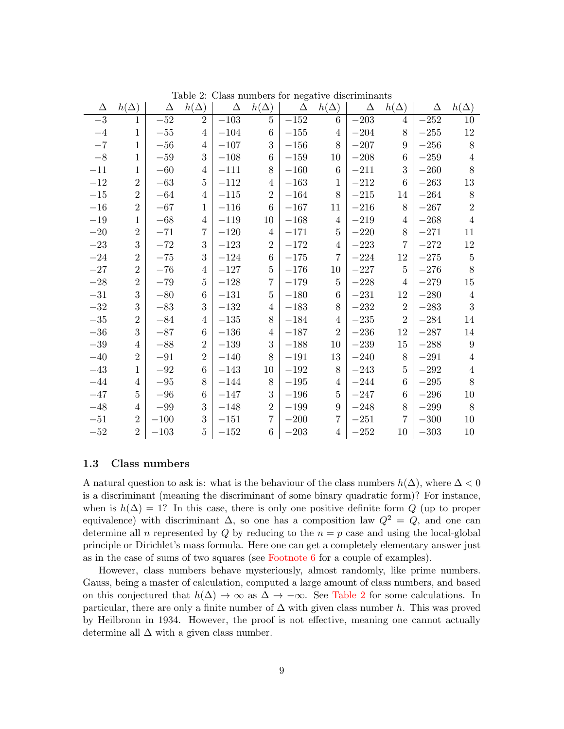| Δ       | $h(\Delta)$    | Δ       | $h(\Delta)$    | $\Delta$ | $h(\Delta)$    | Δ        | $h(\Delta)$    | $\Delta$ | $h(\Delta)$    | $\Delta$ | $h(\Delta)$      |
|---------|----------------|---------|----------------|----------|----------------|----------|----------------|----------|----------------|----------|------------------|
| $-3$    | 1              | $-52$   | $\overline{2}$ | $-103$   | 5              | $-152$   | 6              | $-203$   | 4              | $-252$   | 10               |
| $-4$    | $\mathbf 1$    | $-55$   | 4              | $-104$   | 6              | $-155$   | $\overline{4}$ | $-204$   | 8              | $-255$   | 12               |
| $-7$    | 1              | $-56$   | 4              | $-107$   | 3              | $-156\,$ | 8              | $-207$   | 9              | $-256$   | 8                |
| $-8\,$  | $\mathbf{1}$   | $-59\,$ | 3              | $-108$   | 6              | $-159$   | 10             | $-208$   | 6              | $-259$   | $\overline{4}$   |
| $-11$   | 1              | $-60$   | 4              | $-111$   | 8              | $-160$   | 6              | $-211$   | 3              | $-260$   | 8                |
| $-12$   | $\overline{2}$ | $-63$   | 5              | $-112$   | 4              | $-163$   | 1              | $-212$   | 6              | $-263$   | 13               |
| $-15$   | $\overline{2}$ | $-64$   | 4              | $-115$   | $\overline{2}$ | $-164$   | 8              | $-215$   | 14             | $-264$   | 8                |
| $-16$   | $\overline{2}$ | $-67$   | 1              | $-116$   | 6              | $-167$   | 11             | $-216$   | 8              | $-267$   | $\overline{2}$   |
| $-19$   | 1              | $-68$   | 4              | $-119$   | 10             | $-168$   | $\overline{4}$ | $-219$   | 4              | $-268$   | $\overline{4}$   |
| $-20\,$ | $\overline{2}$ | $-71$   | 7              | $-120$   | 4              | $-171$   | $\overline{5}$ | $-220$   | 8              | $-271$   | 11               |
| $-23$   | 3              | $-72$   | 3              | $-123$   | $\overline{2}$ | $-172$   | 4              | $-223$   | 7              | $-272$   | 12               |
| $-24$   | $\overline{2}$ | $-75$   | 3              | $-124$   | 6              | $-175$   | $\overline{7}$ | $-224$   | 12             | $-275$   | $\overline{5}$   |
| $-27$   | $\overline{2}$ | $-76$   | 4              | $-127$   | 5              | $-176$   | 10             | $-227$   | 5              | $-276$   | 8                |
| $-28\,$ | $\overline{2}$ | $-79$   | 5              | $-128$   | 7              | $-179$   | $\overline{5}$ | $-228$   | 4              | $-279$   | 15               |
| $-31$   | 3              | $-80$   | 6              | $-131$   | 5              | $-180$   | 6              | $-231$   | 12             | $-280$   | 4                |
| $-32\,$ | 3              | $-83$   | 3              | $-132\,$ | 4              | $-183$   | 8              | $-232$   | $\overline{2}$ | $-283$   | 3                |
| $-35\,$ | $\overline{2}$ | $-84$   | 4              | $-135\,$ | 8              | $-184$   | 4              | $-235$   | $\overline{2}$ | $-284$   | 14               |
| $-36$   | 3              | $-87$   | 6              | $-136$   | 4              | $-187$   | $\overline{2}$ | $-236$   | 12             | $-287$   | 14               |
| $-39\,$ | 4              | $-88$   | $\overline{2}$ | $-139\,$ | 3              | $-188$   | 10             | $-239$   | 15             | $-288$   | $\boldsymbol{9}$ |
| $-40$   | $\overline{2}$ | $-91$   | $\overline{2}$ | $-140$   | 8              | $-191$   | 13             | $-240$   | 8              | $-291$   | 4                |
| $-43$   | 1              | $-92$   | 6              | $-143$   | 10             | $-192$   | 8              | $-243$   | 5              | $-292$   | 4                |
| $-44$   | 4              | $-95\,$ | 8              | $-144$   | 8              | $-195$   | 4              | $-244$   | 6              | $-295$   | 8                |
| $-47$   | 5              | $-96$   | 6              | $-147$   | 3              | $-196$   | $\overline{5}$ | $-247$   | 6              | $-296$   | 10               |
| $-48$   | 4              | $-99$   | 3              | $-148$   | $\overline{2}$ | $-199$   | 9              | $-248$   | 8              | $-299\,$ | 8                |
| $-51$   | $\overline{2}$ | $-100$  | 3              | $-151$   | 7              | $-200$   | $\overline{7}$ | $-251$   | 7              | $-300$   | 10               |
| $-52$   | $\overline{2}$ | $-103$  | 5              | $-152$   | 6              | $-203$   | 4              | $-252$   | 10             | $-303$   | 10               |

<span id="page-8-1"></span>Table 2: Class numbers for negative discriminants

#### <span id="page-8-0"></span>1.3 Class numbers

A natural question to ask is: what is the behaviour of the class numbers  $h(\Delta)$ , where  $\Delta < 0$ is a discriminant (meaning the discriminant of some binary quadratic form)? For instance, when is  $h(\Delta) = 1$ ? In this case, there is only one positive definite form Q (up to proper equivalence) with discriminant  $\Delta$ , so one has a composition law  $Q^2 = Q$ , and one can determine all n represented by  $Q$  by reducing to the  $n = p$  case and using the local-global principle or Dirichlet's mass formula. Here one can get a completely elementary answer just as in the case of sums of two squares (see [Footnote 6](#page-7-1) for a couple of examples).

However, class numbers behave mysteriously, almost randomly, like prime numbers. Gauss, being a master of calculation, computed a large amount of class numbers, and based on this conjectured that  $h(\Delta) \to \infty$  as  $\Delta \to -\infty$ . See [Table 2](#page-8-1) for some calculations. In particular, there are only a finite number of  $\Delta$  with given class number h. This was proved by Heilbronn in 1934. However, the proof is not effective, meaning one cannot actually determine all  $\Delta$  with a given class number.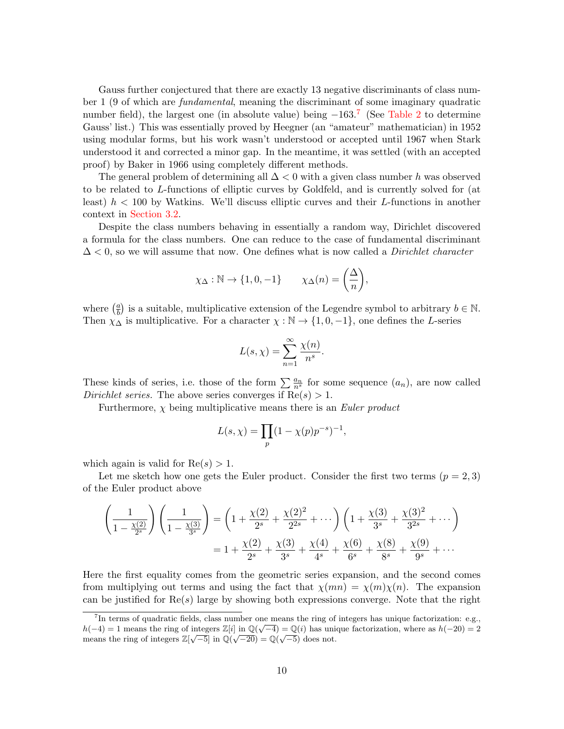Gauss further conjectured that there are exactly 13 negative discriminants of class number 1 (9 of which are fundamental, meaning the discriminant of some imaginary quadratic number field), the largest one (in absolute value) being  $-163.7$  $-163.7$  (See [Table 2](#page-8-1) to determine Gauss' list.) This was essentially proved by Heegner (an "amateur" mathematician) in 1952 using modular forms, but his work wasn't understood or accepted until 1967 when Stark understood it and corrected a minor gap. In the meantime, it was settled (with an accepted proof) by Baker in 1966 using completely different methods.

The general problem of determining all  $\Delta$  < 0 with a given class number h was observed to be related to L-functions of elliptic curves by Goldfeld, and is currently solved for (at least)  $h < 100$  by Watkins. We'll discuss elliptic curves and their L-functions in another context in [Section 3.2.](#page-18-0)

Despite the class numbers behaving in essentially a random way, Dirichlet discovered a formula for the class numbers. One can reduce to the case of fundamental discriminant  $\Delta$  < 0, so we will assume that now. One defines what is now called a *Dirichlet character* 

$$
\chi_{\Delta} : \mathbb{N} \to \{1, 0, -1\}
$$
  $\chi_{\Delta}(n) = \left(\frac{\Delta}{n}\right),$ 

where  $\left(\frac{a}{b}\right)$  $\frac{a}{b}$ ) is a suitable, multiplicative extension of the Legendre symbol to arbitrary  $b \in \mathbb{N}$ . Then  $\chi_{\Delta}$  is multiplicative. For a character  $\chi : \mathbb{N} \to \{1, 0, -1\}$ , one defines the L-series

$$
L(s,\chi)=\sum_{n=1}^{\infty}\frac{\chi(n)}{n^s}.
$$

These kinds of series, i.e. those of the form  $\sum_{n=1}^{\infty} \frac{a_n}{n^s}$  for some sequence  $(a_n)$ , are now called Dirichlet series. The above series converges if  $Re(s) > 1$ .

Furthermore,  $\chi$  being multiplicative means there is an *Euler product* 

$$
L(s, \chi) = \prod_{p} (1 - \chi(p)p^{-s})^{-1},
$$

which again is valid for  $Re(s) > 1$ .

Let me sketch how one gets the Euler product. Consider the first two terms  $(p = 2, 3)$ of the Euler product above

$$
\left(\frac{1}{1-\frac{\chi(2)}{2^s}}\right)\left(\frac{1}{1-\frac{\chi(3)}{3^s}}\right) = \left(1+\frac{\chi(2)}{2^s}+\frac{\chi(2)^2}{2^{2s}}+\cdots\right)\left(1+\frac{\chi(3)}{3^s}+\frac{\chi(3)^2}{3^{2s}}+\cdots\right)
$$

$$
= 1+\frac{\chi(2)}{2^s}+\frac{\chi(3)}{3^s}+\frac{\chi(4)}{4^s}+\frac{\chi(6)}{6^s}+\frac{\chi(8)}{8^s}+\frac{\chi(9)}{9^s}+\cdots
$$

Here the first equality comes from the geometric series expansion, and the second comes from multiplying out terms and using the fact that  $\chi(mn) = \chi(m)\chi(n)$ . The expansion can be justified for  $\text{Re}(s)$  large by showing both expressions converge. Note that the right

<span id="page-9-0"></span><sup>&</sup>lt;sup>7</sup>In terms of quadratic fields, class number one means the ring of integers has unique factorization: e.g.,  $h(-4) = 1$  means the ring of integers  $\mathbb{Z}[i]$  in  $\mathbb{Q}(\sqrt{-4}) = \mathbb{Q}(i)$  has unique factorization, where as  $h(-20) = 2$ means the ring of integers  $\mathbb{Z}[\sqrt{-5}]$  in  $\mathbb{Q}(\sqrt{-20}) = \mathbb{Q}(\sqrt{-5})$  does not.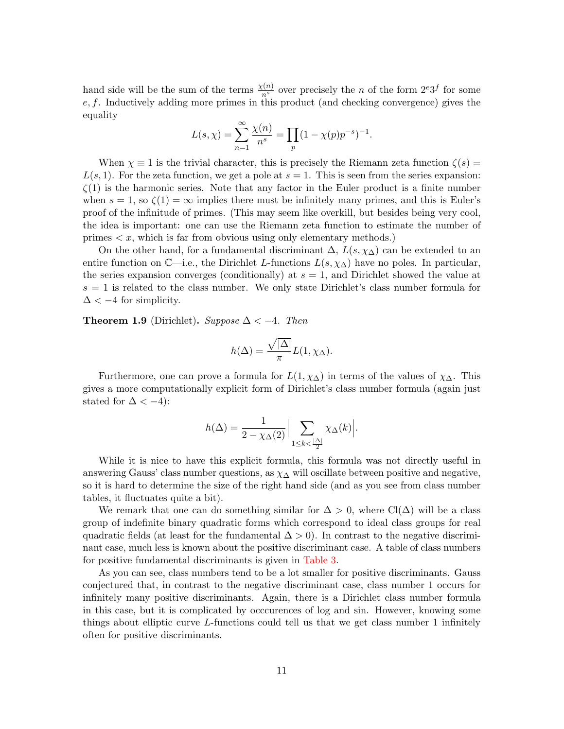hand side will be the sum of the terms  $\frac{\chi(n)}{n^s}$  over precisely the n of the form  $2^e3^f$  for some  $e, f$ . Inductively adding more primes in this product (and checking convergence) gives the equality

$$
L(s, \chi) = \sum_{n=1}^{\infty} \frac{\chi(n)}{n^s} = \prod_p (1 - \chi(p)p^{-s})^{-1}.
$$

When  $\chi \equiv 1$  is the trivial character, this is precisely the Riemann zeta function  $\zeta(s)$  $L(s, 1)$ . For the zeta function, we get a pole at  $s = 1$ . This is seen from the series expansion:  $\zeta(1)$  is the harmonic series. Note that any factor in the Euler product is a finite number when  $s = 1$ , so  $\zeta(1) = \infty$  implies there must be infinitely many primes, and this is Euler's proof of the infinitude of primes. (This may seem like overkill, but besides being very cool, the idea is important: one can use the Riemann zeta function to estimate the number of primes  $\langle x, \text{ which is far from obvious using only elementary methods.} \rangle$ 

On the other hand, for a fundamental discriminant  $\Delta$ ,  $L(s, \chi_{\Delta})$  can be extended to an entire function on  $\mathbb{C}$ —i.e., the Dirichlet L-functions  $L(s, \chi_{\Delta})$  have no poles. In particular, the series expansion converges (conditionally) at  $s = 1$ , and Dirichlet showed the value at  $s = 1$  is related to the class number. We only state Dirichlet's class number formula for  $\Delta < -4$  for simplicity.

<span id="page-10-0"></span>**Theorem 1.9** (Dirichlet). Suppose  $\Delta < -4$ . Then

$$
h(\Delta) = \frac{\sqrt{|\Delta|}}{\pi} L(1, \chi_{\Delta}).
$$

Furthermore, one can prove a formula for  $L(1, \chi_{\Delta})$  in terms of the values of  $\chi_{\Delta}$ . This gives a more computationally explicit form of Dirichlet's class number formula (again just stated for  $\Delta < -4$ :

$$
h(\Delta) = \frac{1}{2 - \chi_{\Delta}(2)} \Big| \sum_{1 \leq k < \frac{|\Delta|}{2}} \chi_{\Delta}(k) \Big|.
$$

While it is nice to have this explicit formula, this formula was not directly useful in answering Gauss' class number questions, as  $\chi_{\Delta}$  will oscillate between positive and negative, so it is hard to determine the size of the right hand side (and as you see from class number tables, it fluctuates quite a bit).

We remark that one can do something similar for  $\Delta > 0$ , where Cl( $\Delta$ ) will be a class group of indefinite binary quadratic forms which correspond to ideal class groups for real quadratic fields (at least for the fundamental  $\Delta > 0$ ). In contrast to the negative discriminant case, much less is known about the positive discriminant case. A table of class numbers for positive fundamental discriminants is given in [Table 3.](#page-11-1)

As you can see, class numbers tend to be a lot smaller for positive discriminants. Gauss conjectured that, in contrast to the negative discriminant case, class number 1 occurs for infinitely many positive discriminants. Again, there is a Dirichlet class number formula in this case, but it is complicated by occcurences of log and sin. However, knowing some things about elliptic curve L-functions could tell us that we get class number 1 infinitely often for positive discriminants.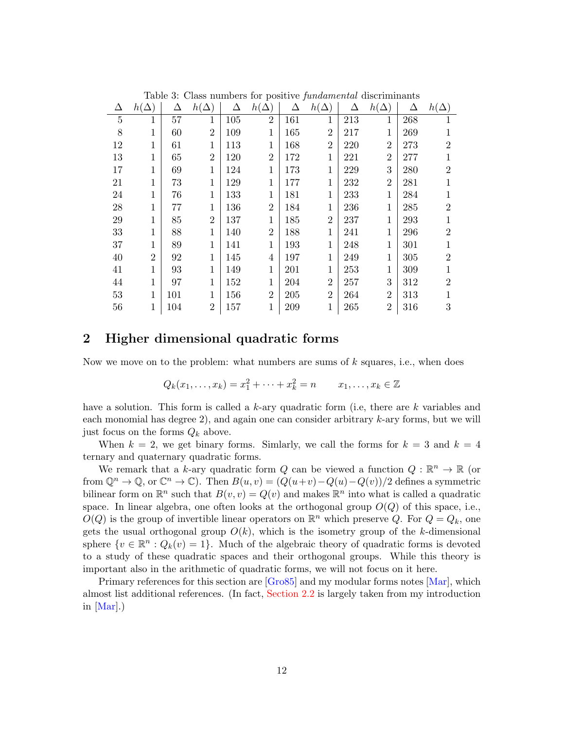| Lable 0. Class humbers for positive fundamental discrimination |                |     |                |     |                |     |                |     |                |     |                |
|----------------------------------------------------------------|----------------|-----|----------------|-----|----------------|-----|----------------|-----|----------------|-----|----------------|
| Δ                                                              | $h(\Delta)$    | Δ   | $h(\Delta)$    | Δ   | $h(\Delta)$    | Δ   | $h(\Delta)$    | Δ   | $h(\Delta)$    | Δ   | $h(\Delta)$    |
| $\overline{5}$                                                 | 1              | 57  | 1              | 105 | $\overline{2}$ | 161 | 1              | 213 | 1              | 268 | 1              |
| 8                                                              | 1              | 60  | $\overline{2}$ | 109 | 1              | 165 | $\overline{2}$ | 217 | $\mathbf 1$    | 269 | 1              |
| 12                                                             | 1              | 61  | 1              | 113 | 1              | 168 | $\overline{2}$ | 220 | $\overline{2}$ | 273 | $\overline{2}$ |
| 13                                                             | 1              | 65  | $\overline{2}$ | 120 | $\overline{2}$ | 172 | 1              | 221 | $\overline{2}$ | 277 | 1              |
| 17                                                             | 1              | 69  | 1              | 124 | 1              | 173 | $\mathbf{1}$   | 229 | 3              | 280 | $\overline{2}$ |
| 21                                                             | 1              | 73  | 1              | 129 | 1              | 177 | $\mathbf{1}$   | 232 | $\overline{2}$ | 281 | 1              |
| 24                                                             | 1              | 76  | 1              | 133 | 1              | 181 | $\mathbf{1}$   | 233 | $\mathbf 1$    | 284 | 1              |
| 28                                                             | 1              | 77  | 1              | 136 | $\overline{2}$ | 184 | 1              | 236 | 1              | 285 | $\overline{2}$ |
| 29                                                             | 1              | 85  | $\overline{2}$ | 137 | 1              | 185 | $\overline{2}$ | 237 | $\mathbf{1}$   | 293 | 1              |
| 33                                                             | 1              | 88  | 1              | 140 | $\overline{2}$ | 188 | 1              | 241 | 1              | 296 | $\overline{2}$ |
| 37                                                             | 1              | 89  | 1              | 141 | 1              | 193 | 1              | 248 | 1              | 301 |                |
| 40                                                             | $\overline{2}$ | 92  | 1              | 145 | 4              | 197 | 1              | 249 | $\mathbf{1}$   | 305 | $\overline{2}$ |
| 41                                                             | 1              | 93  | 1              | 149 | 1              | 201 | $\mathbf{1}$   | 253 | 1              | 309 | 1              |
| 44                                                             | 1              | 97  | $\mathbf 1$    | 152 | 1              | 204 | $\overline{2}$ | 257 | 3              | 312 | $\overline{2}$ |
| 53                                                             | 1              | 101 | 1              | 156 | $\overline{2}$ | 205 | $\overline{2}$ | 264 | $\overline{2}$ | 313 | 1              |
| 56                                                             | 1              | 104 | $\overline{2}$ | 157 | 1              | 209 | 1              | 265 | $\overline{2}$ | 316 | 3              |

<span id="page-11-1"></span>Table 3: Class numbers for positive fundamental discriminants

# <span id="page-11-0"></span>2 Higher dimensional quadratic forms

Now we move on to the problem: what numbers are sums of  $k$  squares, i.e., when does

$$
Q_k(x_1,\ldots,x_k)=x_1^2+\cdots+x_k^2=n \qquad x_1,\ldots,x_k\in\mathbb{Z}
$$

have a solution. This form is called a k-ary quadratic form (i.e, there are  $k$  variables and each monomial has degree  $2$ ), and again one can consider arbitrary  $k$ -ary forms, but we will just focus on the forms  $Q_k$  above.

When  $k = 2$ , we get binary forms. Simlarly, we call the forms for  $k = 3$  and  $k = 4$ ternary and quaternary quadratic forms.

We remark that a k-ary quadratic form Q can be viewed a function  $Q : \mathbb{R}^n \to \mathbb{R}$  (or from  $\mathbb{Q}^n \to \mathbb{Q}$ , or  $\mathbb{C}^n \to \mathbb{C}$ ). Then  $B(u, v) = (Q(u+v)-Q(u)-Q(v))/2$  defines a symmetric bilinear form on  $\mathbb{R}^n$  such that  $B(v, v) = Q(v)$  and makes  $\mathbb{R}^n$  into what is called a quadratic space. In linear algebra, one often looks at the orthogonal group  $O(Q)$  of this space, i.e.,  $O(Q)$  is the group of invertible linear operators on  $\mathbb{R}^n$  which preserve Q. For  $Q = Q_k$ , one gets the usual orthogonal group  $O(k)$ , which is the isometry group of the k-dimensional sphere  $\{v \in \mathbb{R}^n : Q_k(v) = 1\}$ . Much of the algebraic theory of quadratic forms is devoted to a study of these quadratic spaces and their orthogonal groups. While this theory is important also in the arithmetic of quadratic forms, we will not focus on it here.

Primary references for this section are [\[Gro85\]](#page-26-1) and my modular forms notes [\[Mar\]](#page-26-2), which almost list additional references. (In fact, [Section 2.2](#page-14-0) is largely taken from my introduction in [\[Mar\]](#page-26-2).)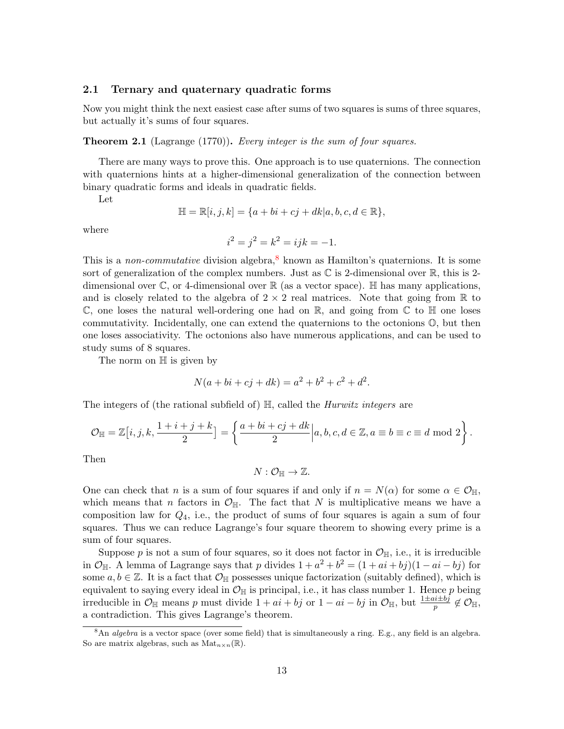### <span id="page-12-0"></span>2.1 Ternary and quaternary quadratic forms

Now you might think the next easiest case after sums of two squares is sums of three squares, but actually it's sums of four squares.

**Theorem 2.1** (Lagrange (1770)). Every integer is the sum of four squares.

There are many ways to prove this. One approach is to use quaternions. The connection with quaternions hints at a higher-dimensional generalization of the connection between binary quadratic forms and ideals in quadratic fields.

Let

$$
\mathbb{H} = \mathbb{R}[i, j, k] = \{a + bi + cj + dk | a, b, c, d \in \mathbb{R}\},\
$$

where

$$
i^2 = j^2 = k^2 = ijk = -1.
$$

This is a non-commutative division algebra,<sup>[8](#page-12-1)</sup> known as Hamilton's quaternions. It is some sort of generalization of the complex numbers. Just as  $\mathbb C$  is 2-dimensional over  $\mathbb R$ , this is 2dimensional over  $\mathbb{C}$ , or 4-dimensional over  $\mathbb{R}$  (as a vector space). H has many applications, and is closely related to the algebra of  $2 \times 2$  real matrices. Note that going from R to  $\mathbb C$ , one loses the natural well-ordering one had on  $\mathbb R$ , and going from  $\mathbb C$  to  $\mathbb H$  one loses commutativity. Incidentally, one can extend the quaternions to the octonions  $\mathbb{O}$ , but then one loses associativity. The octonions also have numerous applications, and can be used to study sums of 8 squares.

The norm on  $\mathbb H$  is given by

$$
N(a + bi + cj + dk) = a^2 + b^2 + c^2 + d^2.
$$

The integers of (the rational subfield of)  $\mathbb{H}$ , called the *Hurwitz integers* are

$$
\mathcal{O}_{\mathbb{H}}=\mathbb{Z}\big[i,j,k,\frac{1+i+j+k}{2}\big]=\left\{\frac{a+bi+cj+dk}{2}\Big|a,b,c,d\in\mathbb{Z},a\equiv b\equiv c\equiv d\ \mathrm{mod}\ 2\right\}.
$$

Then

 $N: \mathcal{O}_{\mathbb{H}} \to \mathbb{Z}.$ 

One can check that n is a sum of four squares if and only if  $n = N(\alpha)$  for some  $\alpha \in \mathcal{O}_{\mathbb{H}}$ , which means that n factors in  $\mathcal{O}_{\mathbb{H}}$ . The fact that N is multiplicative means we have a composition law for  $Q_4$ , i.e., the product of sums of four squares is again a sum of four squares. Thus we can reduce Lagrange's four square theorem to showing every prime is a sum of four squares.

Suppose p is not a sum of four squares, so it does not factor in  $\mathcal{O}_{\mathbb{H}}$ , i.e., it is irreducible in  $\mathcal{O}_{\mathbb{H}}$ . A lemma of Lagrange says that p divides  $1 + a^2 + b^2 = (1 + ai + bj)(1 - ai - bj)$  for some  $a, b \in \mathbb{Z}$ . It is a fact that  $\mathcal{O}_{\mathbb{H}}$  possesses unique factorization (suitably defined), which is equivalent to saying every ideal in  $\mathcal{O}_{\mathbb{H}}$  is principal, i.e., it has class number 1. Hence p being irreducible in  $\mathcal{O}_{\mathbb{H}}$  means p must divide  $1 + ai + bj$  or  $1 - ai - bj$  in  $\mathcal{O}_{\mathbb{H}}$ , but  $\frac{1 \pm ai \pm bj}{p} \notin \mathcal{O}_{\mathbb{H}}$ , a contradiction. This gives Lagrange's theorem.

<span id="page-12-1"></span><sup>&</sup>lt;sup>8</sup>An *algebra* is a vector space (over some field) that is simultaneously a ring. E.g., any field is an algebra. So are matrix algebras, such as  $\text{Mat}_{n\times n}(\mathbb{R})$ .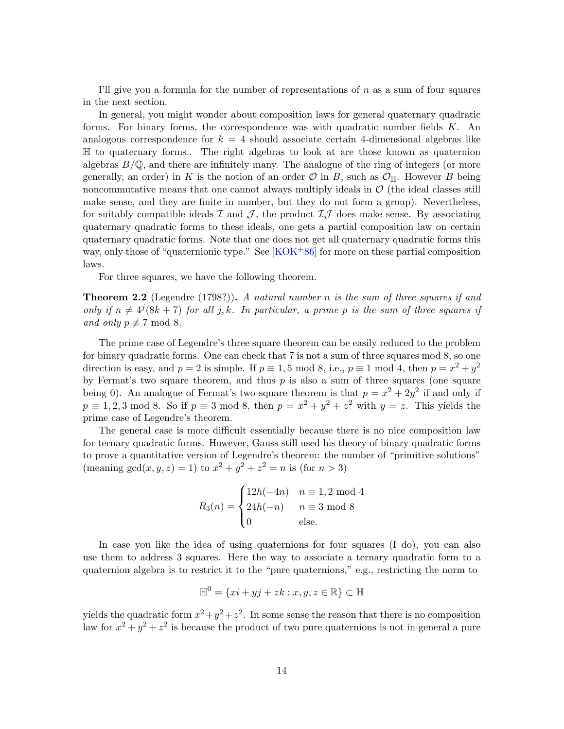I'll give you a formula for the number of representations of  $n$  as a sum of four squares in the next section.

In general, you might wonder about composition laws for general quaternary quadratic forms. For binary forms, the correspondence was with quadratic number fields K. An analogous correspondence for  $k = 4$  should associate certain 4-dimensional algebras like H to quaternary forms.. The right algebras to look at are those known as quaternion algebras  $B/\mathbb{Q}$ , and there are infinitely many. The analogue of the ring of integers (or more generally, an order) in K is the notion of an order  $\mathcal O$  in B, such as  $\mathcal O_{\mathbb H}$ . However B being noncommutative means that one cannot always multiply ideals in  $\mathcal O$  (the ideal classes still make sense, and they are finite in number, but they do not form a group). Nevertheless, for suitably compatible ideals  $\mathcal I$  and  $\mathcal J$ , the product  $\mathcal I\mathcal J$  does make sense. By associating quaternary quadratic forms to these ideals, one gets a partial composition law on certain quaternary quadratic forms. Note that one does not get all quaternary quadratic forms this way, only those of "quaternionic type." See  $[KOK^{+86}]$  $[KOK^{+86}]$  for more on these partial composition laws.

For three squares, we have the following theorem.

**Theorem 2.2** (Legendre (1798?)). A natural number n is the sum of three squares if and only if  $n \neq 4^{j}(8k + 7)$  for all j, k. In particular, a prime p is the sum of three squares if and only  $p \not\equiv 7 \mod 8$ .

The prime case of Legendre's three square theorem can be easily reduced to the problem for binary quadratic forms. One can check that 7 is not a sum of three squares mod 8, so one direction is easy, and  $p = 2$  is simple. If  $p \equiv 1, 5 \mod 8$ , i.e.,  $p \equiv 1 \mod 4$ , then  $p = x^2 + y^2$ by Fermat's two square theorem, and thus  $p$  is also a sum of three squares (one square being 0). An analogue of Fermat's two square theorem is that  $p = x^2 + 2y^2$  if and only if  $p \equiv 1, 2, 3 \mod 8$ . So if  $p \equiv 3 \mod 8$ , then  $p = x^2 + y^2 + z^2$  with  $y = z$ . This yields the prime case of Legendre's theorem.

The general case is more difficult essentially because there is no nice composition law for ternary quadratic forms. However, Gauss still used his theory of binary quadratic forms to prove a quantitative version of Legendre's theorem: the number of "primitive solutions" (meaning  $gcd(x, y, z) = 1$ ) to  $x^2 + y^2 + z^2 = n$  is (for  $n > 3$ )

$$
R_3(n) = \begin{cases} 12h(-4n) & n \equiv 1,2 \mod 4 \\ 24h(-n) & n \equiv 3 \mod 8 \\ 0 & \text{else.} \end{cases}
$$

In case you like the idea of using quaternions for four squares (I do), you can also use them to address 3 squares. Here the way to associate a ternary quadratic form to a quaternion algebra is to restrict it to the "pure quaternions," e.g., restricting the norm to

$$
\mathbb{H}^0 = \{xi + yj + zk : x, y, z \in \mathbb{R}\} \subset \mathbb{H}
$$

yields the quadratic form  $x^2 + y^2 + z^2$ . In some sense the reason that there is no composition law for  $x^2 + y^2 + z^2$  is because the product of two pure quaternions is not in general a pure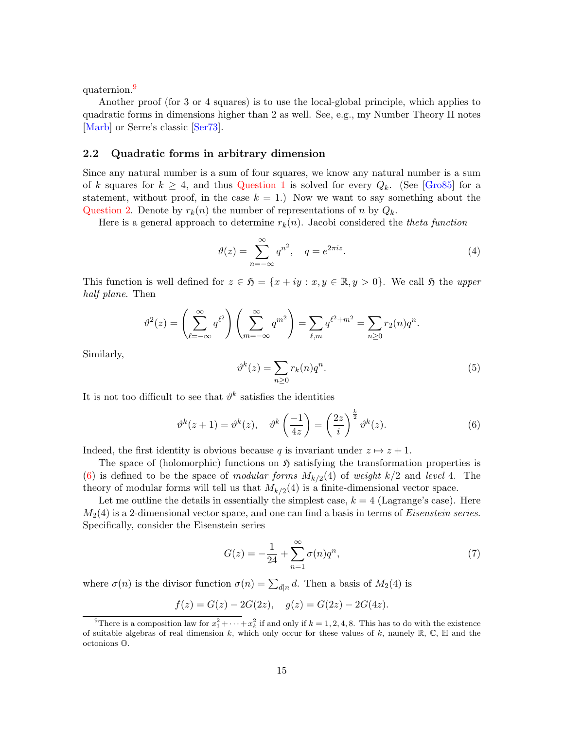quaternion.<sup>[9](#page-14-1)</sup>

Another proof (for 3 or 4 squares) is to use the local-global principle, which applies to quadratic forms in dimensions higher than 2 as well. See, e.g., my Number Theory II notes [\[Marb\]](#page-26-0) or Serre's classic [\[Ser73\]](#page-26-4).

### <span id="page-14-0"></span>2.2 Quadratic forms in arbitrary dimension

Since any natural number is a sum of four squares, we know any natural number is a sum of k squares for  $k \geq 4$ , and thus [Question 1](#page-1-3) is solved for every  $Q_k$ . (See [\[Gro85\]](#page-26-1) for a statement, without proof, in the case  $k = 1$ .) Now we want to say something about the [Question 2.](#page-1-4) Denote by  $r_k(n)$  the number of representations of n by  $Q_k$ .

Here is a general approach to determine  $r_k(n)$ . Jacobi considered the theta function

$$
\vartheta(z) = \sum_{n = -\infty}^{\infty} q^{n^2}, \quad q = e^{2\pi i z}.
$$
\n(4)

This function is well defined for  $z \in \mathfrak{H} = \{x + iy : x, y \in \mathbb{R}, y > 0\}$ . We call  $\mathfrak{H}$  the upper half plane. Then

$$
\vartheta^{2}(z) = \left(\sum_{\ell=-\infty}^{\infty} q^{\ell^{2}}\right) \left(\sum_{m=-\infty}^{\infty} q^{m^{2}}\right) = \sum_{\ell,m} q^{\ell^{2}+m^{2}} = \sum_{n\geq 0} r_{2}(n)q^{n}.
$$

Similarly,

$$
\vartheta^k(z) = \sum_{n \ge 0} r_k(n) q^n.
$$
\n(5)

It is not too difficult to see that  $\vartheta^k$  satisfies the identities

<span id="page-14-2"></span>
$$
\vartheta^k(z+1) = \vartheta^k(z), \quad \vartheta^k\left(\frac{-1}{4z}\right) = \left(\frac{2z}{i}\right)^{\frac{k}{2}}\vartheta^k(z). \tag{6}
$$

Indeed, the first identity is obvious because q is invariant under  $z \mapsto z + 1$ .

The space of (holomorphic) functions on  $\mathfrak{H}$  satisfying the transformation properties is [\(6\)](#page-14-2) is defined to be the space of modular forms  $M_{k/2}(4)$  of weight  $k/2$  and level 4. The theory of modular forms will tell us that  $M_{k/2}(4)$  is a finite-dimensional vector space.

Let me outline the details in essentially the simplest case,  $k = 4$  (Lagrange's case). Here  $M_2(4)$  is a 2-dimensional vector space, and one can find a basis in terms of *Eisenstein series*. Specifically, consider the Eisenstein series

<span id="page-14-3"></span>
$$
G(z) = -\frac{1}{24} + \sum_{n=1}^{\infty} \sigma(n) q^n,
$$
\n(7)

where  $\sigma(n)$  is the divisor function  $\sigma(n) = \sum_{d|n} d$ . Then a basis of  $M_2(4)$  is

$$
f(z) = G(z) - 2G(2z), \quad g(z) = G(2z) - 2G(4z).
$$

<span id="page-14-1"></span><sup>&</sup>lt;sup>9</sup>There is a composition law for  $x_1^2 + \cdots + x_k^2$  if and only if  $k = 1, 2, 4, 8$ . This has to do with the existence of suitable algebras of real dimension k, which only occur for these values of k, namely  $\mathbb{R}, \mathbb{C}, \mathbb{H}$  and the octonions O.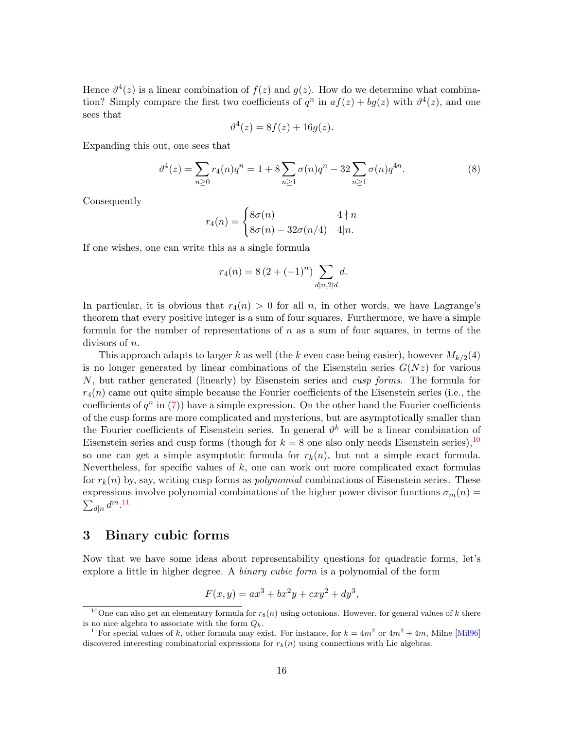Hence  $\vartheta^4(z)$  is a linear combination of  $f(z)$  and  $g(z)$ . How do we determine what combination? Simply compare the first two coefficients of  $q^n$  in  $af(z) + bg(z)$  with  $\vartheta^4(z)$ , and one sees that

$$
\vartheta^4(z) = 8f(z) + 16g(z).
$$

Expanding this out, one sees that

$$
\vartheta^4(z) = \sum_{n\geq 0} r_4(n)q^n = 1 + 8\sum_{n\geq 1} \sigma(n)q^n - 32\sum_{n\geq 1} \sigma(n)q^{4n}.\tag{8}
$$

Consequently

$$
r_4(n) = \begin{cases} 8\sigma(n) & 4 \nmid n \\ 8\sigma(n) - 32\sigma(n/4) & 4|n. \end{cases}
$$

If one wishes, one can write this as a single formula

$$
r_4(n) = 8\left(2 + (-1)^n\right) \sum_{d|n,2\nmid d} d.
$$

In particular, it is obvious that  $r_4(n) > 0$  for all n, in other words, we have Lagrange's theorem that every positive integer is a sum of four squares. Furthermore, we have a simple formula for the number of representations of  $n$  as a sum of four squares, in terms of the divisors of n.

This approach adapts to larger k as well (the k even case being easier), however  $M_{k/2}(4)$ is no longer generated by linear combinations of the Eisenstein series  $G(Nz)$  for various  $N$ , but rather generated (linearly) by Eisenstein series and *cusp forms*. The formula for  $r_4(n)$  came out quite simple because the Fourier coefficients of the Eisenstein series (i.e., the coefficients of  $q^n$  in [\(7\)](#page-14-3)) have a simple expression. On the other hand the Fourier coefficients of the cusp forms are more complicated and mysterious, but are asymptotically smaller than the Fourier coefficients of Eisenstein series. In general  $\vartheta^k$  will be a linear combination of Eisenstein series and cusp forms (though for  $k = 8$  one also only needs Eisenstein series),  $10$ so one can get a simple asymptotic formula for  $r_k(n)$ , but not a simple exact formula. Nevertheless, for specific values of  $k$ , one can work out more complicated exact formulas for  $r_k(n)$  by, say, writing cusp forms as *polynomial* combinations of Eisenstein series. These expressions involve polynomial combinations of the higher power divisor functions  $\sigma_m(n)$  $\sum_{d|n} d^m$ .<sup>[11](#page-15-2)</sup>

## <span id="page-15-0"></span>3 Binary cubic forms

Now that we have some ideas about representability questions for quadratic forms, let's explore a little in higher degree. A *binary cubic form* is a polynomial of the form

$$
F(x, y) = ax^{3} + bx^{2}y + cxy^{2} + dy^{3},
$$

<span id="page-15-1"></span><sup>&</sup>lt;sup>10</sup>One can also get an elementary formula for  $r_8(n)$  using octonions. However, for general values of k there is no nice algebra to associate with the form  $Q_k$ .

<span id="page-15-2"></span><sup>&</sup>lt;sup>11</sup> For special values of k, other formula may exist. For instance, for  $k = 4m^2$  or  $4m^2 + 4m$ , Milne [\[Mil96\]](#page-26-5) discovered interesting combinatorial expressions for  $r_k(n)$  using connections with Lie algebras.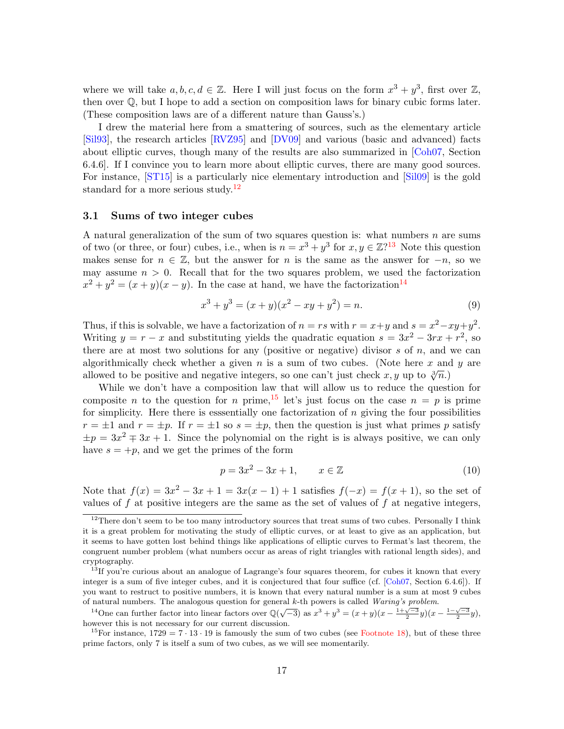where we will take  $a, b, c, d \in \mathbb{Z}$ . Here I will just focus on the form  $x^3 + y^3$ , first over  $\mathbb{Z}$ , then over  $\mathbb Q$ , but I hope to add a section on composition laws for binary cubic forms later. (These composition laws are of a different nature than Gauss's.)

I drew the material here from a smattering of sources, such as the elementary article [\[Sil93\]](#page-26-6), the research articles [\[RVZ95\]](#page-26-7) and [\[DV09\]](#page-26-8) and various (basic and advanced) facts about elliptic curves, though many of the results are also summarized in [\[Coh07,](#page-26-9) Section 6.4.6]. If I convince you to learn more about elliptic curves, there are many good sources. For instance, [\[ST15\]](#page-26-10) is a particularly nice elementary introduction and [\[Sil09\]](#page-26-11) is the gold standard for a more serious study.<sup>[12](#page-16-1)</sup>

#### <span id="page-16-0"></span>3.1 Sums of two integer cubes

A natural generalization of the sum of two squares question is: what numbers  $n$  are sums of two (or three, or four) cubes, i.e., when is  $n = x^3 + y^3$  for  $x, y \in \mathbb{Z}^{2,13}$  $x, y \in \mathbb{Z}^{2,13}$  $x, y \in \mathbb{Z}^{2,13}$  Note this question makes sense for  $n \in \mathbb{Z}$ , but the answer for n is the same as the answer for  $-n$ , so we may assume  $n > 0$ . Recall that for the two squares problem, we used the factorization  $x^2 + y^2 = (x + y)(x - y)$ . In the case at hand, we have the factorization<sup>[14](#page-16-3)</sup>

$$
x^{3} + y^{3} = (x+y)(x^{2} - xy + y^{2}) = n.
$$
\n(9)

Thus, if this is solvable, we have a factorization of  $n = rs$  with  $r = x+y$  and  $s = x^2 - xy + y^2$ . Writing  $y = r - x$  and substituting yields the quadratic equation  $s = 3x^2 - 3rx + r^2$ , so there are at most two solutions for any (positive or negative) divisor  $s$  of  $n$ , and we can algorithmically check whether a given n is a sum of two cubes. (Note here x and y are allowed to be positive and negative integers, so one can't just check  $x, y$  up to  $\sqrt[3]{n}$ .

While we don't have a composition law that will allow us to reduce the question for composite n to the question for n prime, <sup>[15](#page-16-4)</sup> let's just focus on the case  $n = p$  is prime for simplicity. Here there is esssentially one factorization of  $n$  giving the four possibilities  $r = \pm 1$  and  $r = \pm p$ . If  $r = \pm 1$  so  $s = \pm p$ , then the question is just what primes p satisfy  $\pm p = 3x^2 \mp 3x + 1$ . Since the polynomial on the right is is always positive, we can only have  $s = +p$ , and we get the primes of the form

<span id="page-16-5"></span>
$$
p = 3x^2 - 3x + 1, \qquad x \in \mathbb{Z} \tag{10}
$$

Note that  $f(x) = 3x^2 - 3x + 1 = 3x(x - 1) + 1$  satisfies  $f(-x) = f(x + 1)$ , so the set of values of  $f$  at positive integers are the same as the set of values of  $f$  at negative integers,

<span id="page-16-3"></span><sup>14</sup>One can further factor into linear factors over  $\mathbb{Q}(\sqrt{-3})$  as  $x^3 + y^3 = (x + y)(x - \frac{1+\sqrt{-3}}{2}y)(x - \frac{1-\sqrt{-3}}{2}y)$ , however this is not necessary for our current discussion.

<span id="page-16-1"></span> $12$ There don't seem to be too many introductory sources that treat sums of two cubes. Personally I think it is a great problem for motivating the study of elliptic curves, or at least to give as an application, but it seems to have gotten lost behind things like applications of elliptic curves to Fermat's last theorem, the congruent number problem (what numbers occur as areas of right triangles with rational length sides), and cryptography.

<span id="page-16-2"></span><sup>&</sup>lt;sup>13</sup>If you're curious about an analogue of Lagrange's four squares theorem, for cubes it known that every integer is a sum of five integer cubes, and it is conjectured that four suffice (cf. [\[Coh07,](#page-26-9) Section 6.4.6]). If you want to restruct to positive numbers, it is known that every natural number is a sum at most 9 cubes of natural numbers. The analogous question for general k-th powers is called Waring's problem.

<span id="page-16-4"></span><sup>&</sup>lt;sup>15</sup>For instance,  $1729 = 7 \cdot 13 \cdot 19$  is famously the sum of two cubes (see [Footnote 18\)](#page-18-1), but of these three prime factors, only 7 is itself a sum of two cubes, as we will see momentarily.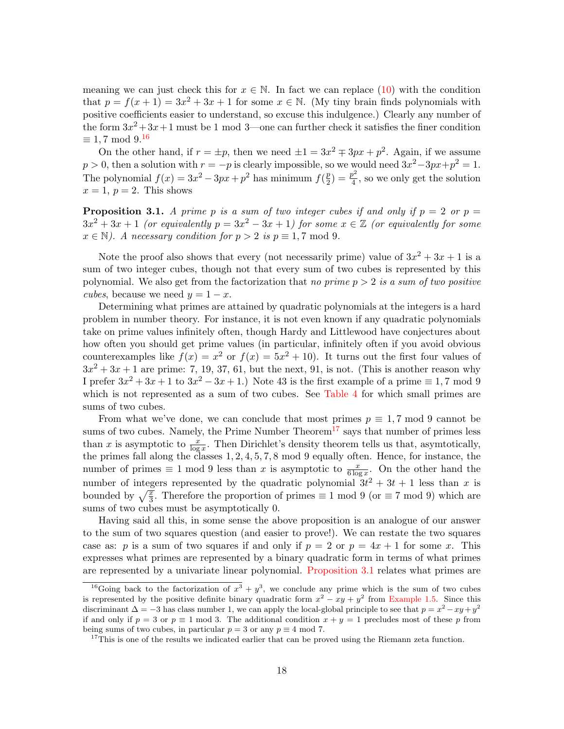meaning we can just check this for  $x \in \mathbb{N}$ . In fact we can replace [\(10\)](#page-16-5) with the condition that  $p = f(x+1) = 3x^2 + 3x + 1$  for some  $x \in \mathbb{N}$ . (My tiny brain finds polynomials with positive coefficients easier to understand, so excuse this indulgence.) Clearly any number of the form  $3x^2+3x+1$  must be 1 mod 3—one can further check it satisfies the finer condition  $\equiv 1, 7 \mod 9$ .<sup>[16](#page-17-0)</sup>

On the other hand, if  $r = \pm p$ , then we need  $\pm 1 = 3x^2 \mp 3px + p^2$ . Again, if we assume  $p > 0$ , then a solution with  $r = -p$  is clearly impossible, so we would need  $3x^2 - 3px + p^2 = 1$ . The polynomial  $f(x) = 3x^2 - 3px + p^2$  has minimum  $f(\frac{p}{2})$  $\frac{p}{2}) = \frac{p^2}{4}$  $\frac{b^2}{4}$ , so we only get the solution  $x = 1, p = 2$ . This shows

<span id="page-17-2"></span>**Proposition 3.1.** A prime p is a sum of two integer cubes if and only if  $p = 2$  or  $p = 1$  $3x^2 + 3x + 1$  (or equivalently  $p = 3x^2 - 3x + 1$ ) for some  $x \in \mathbb{Z}$  (or equivalently for some  $x \in \mathbb{N}$ ). A necessary condition for  $p > 2$  is  $p \equiv 1, 7 \mod 9$ .

Note the proof also shows that every (not necessarily prime) value of  $3x^2 + 3x + 1$  is a sum of two integer cubes, though not that every sum of two cubes is represented by this polynomial. We also get from the factorization that no prime  $p > 2$  is a sum of two positive cubes, because we need  $y = 1 - x$ .

Determining what primes are attained by quadratic polynomials at the integers is a hard problem in number theory. For instance, it is not even known if any quadratic polynomials take on prime values infinitely often, though Hardy and Littlewood have conjectures about how often you should get prime values (in particular, infinitely often if you avoid obvious counterexamples like  $f(x) = x^2$  or  $f(x) = 5x^2 + 10$ . It turns out the first four values of  $3x^2 + 3x + 1$  are prime: 7, 19, 37, 61, but the next, 91, is not. (This is another reason why I prefer  $3x^2 + 3x + 1$  to  $3x^2 - 3x + 1$ .) Note 43 is the first example of a prime  $\equiv 1, 7 \mod 9$ which is not represented as a sum of two cubes. See [Table 4](#page-18-2) for which small primes are sums of two cubes.

From what we've done, we can conclude that most primes  $p \equiv 1, 7 \mod 9$  cannot be sums of two cubes. Namely, the Prime Number Theorem<sup>[17](#page-17-1)</sup> says that number of primes less than x is asymptotic to  $\frac{x}{\log x}$ . Then Dirichlet's density theorem tells us that, asymtotically, the primes fall along the classes 1, 2, 4, 5, 7, 8 mod 9 equally often. Hence, for instance, the number of primes  $\equiv 1 \mod 9$  less than x is asymptotic to  $\frac{x}{6 \log x}$ . On the other hand the number of integers represented by the quadratic polynomial  $3t^2 + 3t + 1$  less than x is bounded by  $\sqrt{\frac{x}{3}}$ . Therefore the proportion of primes  $\equiv 1 \mod 9$  (or  $\equiv 7 \mod 9$ ) which are sums of two cubes must be asymptotically 0.

Having said all this, in some sense the above proposition is an analogue of our answer to the sum of two squares question (and easier to prove!). We can restate the two squares case as: p is a sum of two squares if and only if  $p = 2$  or  $p = 4x + 1$  for some x. This expresses what primes are represented by a binary quadratic form in terms of what primes are represented by a univariate linear polynomial. [Proposition 3.1](#page-17-2) relates what primes are

<span id="page-17-0"></span><sup>&</sup>lt;sup>16</sup>Going back to the factorization of  $x^3 + y^3$ , we conclude any prime which is the sum of two cubes is represented by the positive definite binary quadratic form  $x^2 - xy + y^2$  from [Example 1.5.](#page-5-2) Since this discriminant  $\Delta = -3$  has class number 1, we can apply the local-global principle to see that  $p = x^2 - xy + y^2$ if and only if  $p = 3$  or  $p \equiv 1 \mod 3$ . The additional condition  $x + y = 1$  precludes most of these p from being sums of two cubes, in particular  $p = 3$  or any  $p \equiv 4 \mod 7$ .

<span id="page-17-1"></span><sup>&</sup>lt;sup>17</sup>This is one of the results we indicated earlier that can be proved using the Riemann zeta function.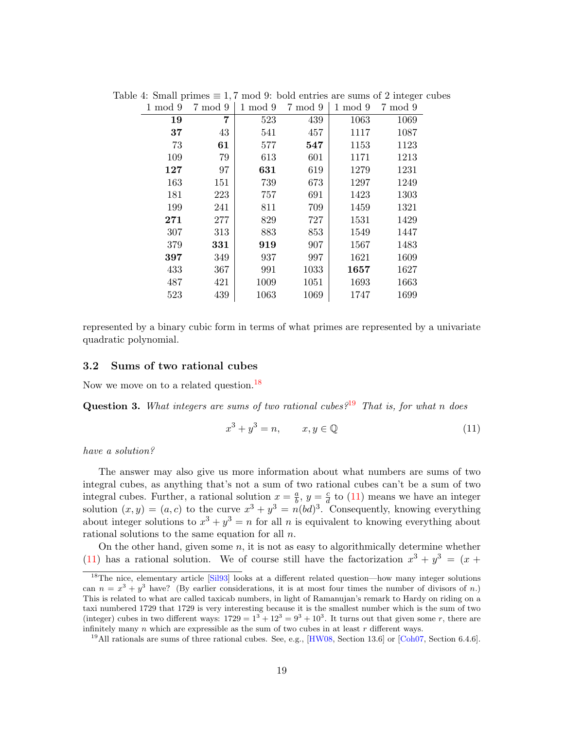<span id="page-18-2"></span>

| $1 \mod 9$ | 7 mod 9 | $1 \mod 9$ | 7 mod 9 | $1 \mod 9$ | 7 mod 9 |
|------------|---------|------------|---------|------------|---------|
| 19         | 7       | 523        | 439     | 1063       | 1069    |
| 37         | 43      | 541        | 457     | 1117       | 1087    |
| 73         | 61      | 577        | 547     | 1153       | 1123    |
| 109        | 79      | 613        | 601     | 1171       | 1213    |
| 127        | 97      | 631        | 619     | 1279       | 1231    |
| 163        | 151     | 739        | 673     | 1297       | 1249    |
| 181        | 223     | 757        | 691     | 1423       | 1303    |
| 199        | 241     | 811        | 709     | 1459       | 1321    |
| 271        | 277     | 829        | 727     | 1531       | 1429    |
| 307        | 313     | 883        | 853     | 1549       | 1447    |
| 379        | 331     | 919        | 907     | 1567       | 1483    |
| 397        | 349     | 937        | 997     | 1621       | 1609    |
| 433        | 367     | 991        | 1033    | 1657       | 1627    |
| 487        | 421     | 1009       | 1051    | 1693       | 1663    |
| 523        | 439     | 1063       | 1069    | 1747       | 1699    |
|            |         |            |         |            |         |

Table 4: Small primes  $\equiv 1, 7 \mod 9$ : bold entries are sums of 2 integer cubes

represented by a binary cubic form in terms of what primes are represented by a univariate quadratic polynomial.

### <span id="page-18-0"></span>3.2 Sums of two rational cubes

Now we move on to a related question.<sup>[18](#page-18-1)</sup>

<span id="page-18-5"></span>**Question 3.** What integers are sums of two rational cubes<sup>2[19](#page-18-3)</sup> That is, for what n does

<span id="page-18-4"></span>
$$
x^3 + y^3 = n, \qquad x, y \in \mathbb{Q} \tag{11}
$$

### have a solution?

The answer may also give us more information about what numbers are sums of two integral cubes, as anything that's not a sum of two rational cubes can't be a sum of two integral cubes. Further, a rational solution  $x = \frac{a}{b}$  $\frac{a}{b}$ ,  $y = \frac{c}{d}$  $\frac{c}{d}$  to [\(11\)](#page-18-4) means we have an integer solution  $(x, y) = (a, c)$  to the curve  $x^3 + y^3 = n(bd)^3$ . Consequently, knowing everything about integer solutions to  $x^3 + y^3 = n$  for all n is equivalent to knowing everything about rational solutions to the same equation for all n.

On the other hand, given some  $n$ , it is not as easy to algorithmically determine whether [\(11\)](#page-18-4) has a rational solution. We of course still have the factorization  $x^3 + y^3 = (x +$ 

<span id="page-18-1"></span><sup>&</sup>lt;sup>18</sup>The nice, elementary article [\[Sil93\]](#page-26-6) looks at a different related question—how many integer solutions can  $n = x^3 + y^3$  have? (By earlier considerations, it is at most four times the number of divisors of n.) This is related to what are called taxicab numbers, in light of Ramanujan's remark to Hardy on riding on a taxi numbered 1729 that 1729 is very interesting because it is the smallest number which is the sum of two (integer) cubes in two different ways:  $1729 = 1^3 + 12^3 = 9^3 + 10^3$ . It turns out that given some r, there are infinitely many  $n$  which are expressible as the sum of two cubes in at least  $r$  different ways.

<span id="page-18-3"></span><sup>&</sup>lt;sup>19</sup>All rationals are sums of three rational cubes. See, e.g.,  $[HW08, Section 13.6]$  $[HW08, Section 13.6]$  or [\[Coh07,](#page-26-9) Section 6.4.6].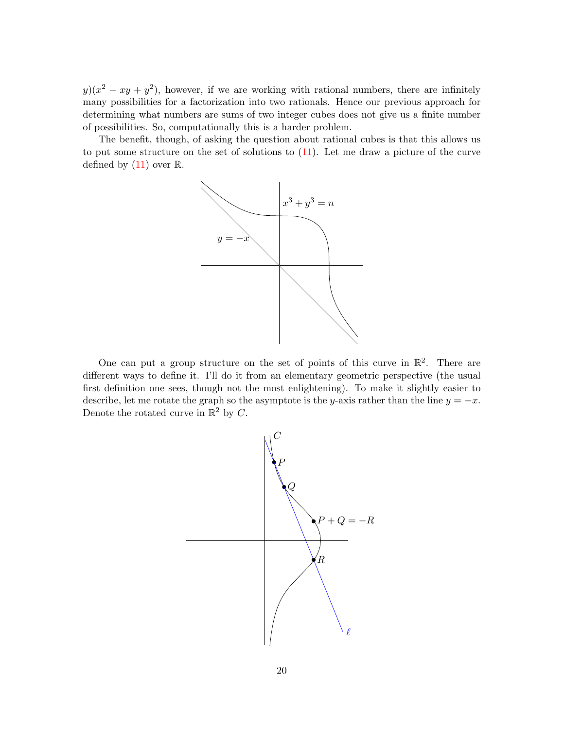$y(x^2 - xy + y^2)$ , however, if we are working with rational numbers, there are infinitely many possibilities for a factorization into two rationals. Hence our previous approach for determining what numbers are sums of two integer cubes does not give us a finite number of possibilities. So, computationally this is a harder problem.

The benefit, though, of asking the question about rational cubes is that this allows us to put some structure on the set of solutions to [\(11\)](#page-18-4). Let me draw a picture of the curve defined by  $(11)$  over  $\mathbb R$ .



One can put a group structure on the set of points of this curve in  $\mathbb{R}^2$ . There are different ways to define it. I'll do it from an elementary geometric perspective (the usual first definition one sees, though not the most enlightening). To make it slightly easier to describe, let me rotate the graph so the asymptote is the y-axis rather than the line  $y = -x$ . Denote the rotated curve in  $\mathbb{R}^2$  by C.

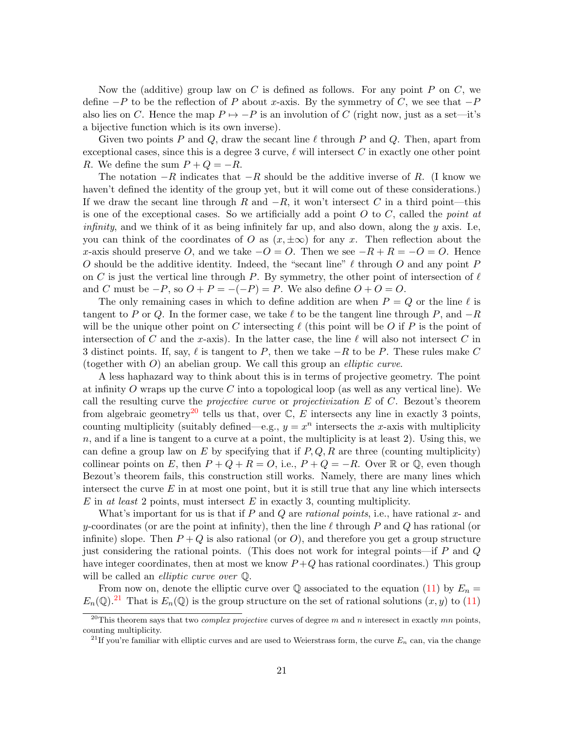Now the (additive) group law on  $C$  is defined as follows. For any point  $P$  on  $C$ , we define  $-P$  to be the reflection of P about x-axis. By the symmetry of C, we see that  $-P$ also lies on C. Hence the map  $P \mapsto -P$  is an involution of C (right now, just as a set—it's a bijective function which is its own inverse).

Given two points P and Q, draw the secant line  $\ell$  through P and Q. Then, apart from exceptional cases, since this is a degree 3 curve,  $\ell$  will intersect C in exactly one other point R. We define the sum  $P + Q = -R$ .

The notation  $-R$  indicates that  $-R$  should be the additive inverse of R. (I know we haven't defined the identity of the group yet, but it will come out of these considerations.) If we draw the secant line through R and  $-R$ , it won't intersect C in a third point—this is one of the exceptional cases. So we artificially add a point  $O$  to  $C$ , called the *point at infinity*, and we think of it as being infinitely far up, and also down, along the  $y$  axis. I.e, you can think of the coordinates of O as  $(x, \pm \infty)$  for any x. Then reflection about the x-axis should preserve O, and we take  $-O = O$ . Then we see  $-R + R = -O = O$ . Hence O should be the additive identity. Indeed, the "secant line"  $\ell$  through O and any point P on C is just the vertical line through P. By symmetry, the other point of intersection of  $\ell$ and C must be  $-P$ , so  $O + P = -(-P) = P$ . We also define  $O + O = O$ .

The only remaining cases in which to define addition are when  $P = Q$  or the line  $\ell$  is tangent to P or Q. In the former case, we take  $\ell$  to be the tangent line through P, and  $-R$ will be the unique other point on C intersecting  $\ell$  (this point will be O if P is the point of intersection of C and the x-axis). In the latter case, the line  $\ell$  will also not intersect C in 3 distinct points. If, say,  $\ell$  is tangent to P, then we take  $-R$  to be P. These rules make C (together with  $O$ ) an abelian group. We call this group an *elliptic curve*.

A less haphazard way to think about this is in terms of projective geometry. The point at infinity O wraps up the curve C into a topological loop (as well as any vertical line). We call the resulting curve the *projective curve* or *projectivization*  $E$  of  $C$ . Bezout's theorem from algebraic geometry<sup>[20](#page-20-0)</sup> tells us that, over  $\mathbb{C}, E$  intersects any line in exactly 3 points, counting multiplicity (suitably defined—e.g.,  $y = x^n$  intersects the x-axis with multiplicity  $n$ , and if a line is tangent to a curve at a point, the multiplicity is at least 2). Using this, we can define a group law on E by specifying that if  $P, Q, R$  are three (counting multiplicity) collinear points on E, then  $P + Q + R = O$ , i.e.,  $P + Q = -R$ . Over R or Q, even though Bezout's theorem fails, this construction still works. Namely, there are many lines which intersect the curve  $E$  in at most one point, but it is still true that any line which intersects  $E$  in at least 2 points, must intersect  $E$  in exactly 3, counting multiplicity.

What's important for us is that if P and Q are *rational points*, i.e., have rational  $x$ - and y-coordinates (or are the point at infinity), then the line  $\ell$  through P and Q has rational (or infinite) slope. Then  $P+Q$  is also rational (or O), and therefore you get a group structure just considering the rational points. (This does not work for integral points—if  $P$  and  $Q$ have integer coordinates, then at most we know  $P+Q$  has rational coordinates.) This group will be called an *elliptic curve over*  $\mathbb{Q}$ .

From now on, denote the elliptic curve over  $\mathbb Q$  associated to the equation [\(11\)](#page-18-4) by  $E_n =$  $E_n(\mathbb{Q})$ .<sup>[21](#page-20-1)</sup> That is  $E_n(\mathbb{Q})$  is the group structure on the set of rational solutions  $(x, y)$  to [\(11\)](#page-18-4)

<span id="page-20-0"></span><sup>&</sup>lt;sup>20</sup>This theorem says that two *complex projective* curves of degree m and n interesect in exactly mn points, counting multiplicity.

<span id="page-20-1"></span><sup>&</sup>lt;sup>21</sup>If you're familiar with elliptic curves and are used to Weierstrass form, the curve  $E_n$  can, via the change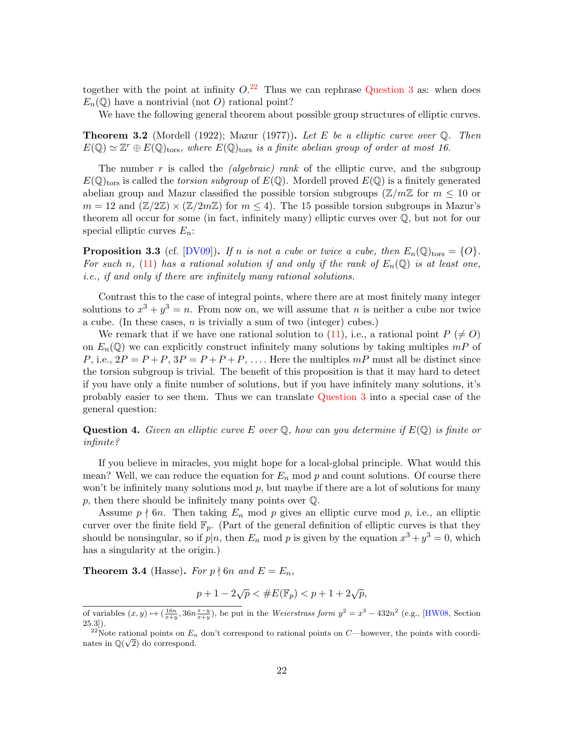together with the point at infinity  $O^{22}$  $O^{22}$  $O^{22}$ . Thus we can rephrase [Question 3](#page-18-5) as: when does  $E_n(\mathbb{Q})$  have a nontrivial (not O) rational point?

We have the following general theorem about possible group structures of elliptic curves.

**Theorem 3.2** (Mordell (1922); Mazur (1977)). Let E be a elliptic curve over  $\mathbb{Q}$ . Then  $E(\mathbb{Q}) \simeq \mathbb{Z}^r \oplus E(\mathbb{Q})_{\text{tors}},$  where  $E(\mathbb{Q})_{\text{tors}}$  is a finite abelian group of order at most 16.

The number r is called the *(algebraic)* rank of the elliptic curve, and the subgroup  $E(\mathbb{Q})_{\text{tors}}$  is called the torsion subgroup of  $E(\mathbb{Q})$ . Mordell proved  $E(\mathbb{Q})$  is a finitely generated abelian group and Mazur classified the possible torsion subgroups ( $\mathbb{Z}/m\mathbb{Z}$  for  $m \leq 10$  or  $m = 12$  and  $(\mathbb{Z}/2\mathbb{Z}) \times (\mathbb{Z}/2m\mathbb{Z})$  for  $m \leq 4$ . The 15 possible torsion subgroups in Mazur's theorem all occur for some (in fact, infinitely many) elliptic curves over  $\mathbb{Q}$ , but not for our special elliptic curves  $E_n$ :

**Proposition 3.3** (cf.  $[DVO9]$ ). If n is not a cube or twice a cube, then  $E_n(\mathbb{Q})_{\text{tors}} = \{O\}$ . For such n, [\(11\)](#page-18-4) has a rational solution if and only if the rank of  $E_n(\mathbb{Q})$  is at least one, i.e., if and only if there are infinitely many rational solutions.

Contrast this to the case of integral points, where there are at most finitely many integer solutions to  $x^3 + y^3 = n$ . From now on, we will assume that n is neither a cube nor twice a cube. (In these cases,  $n$  is trivially a sum of two (integer) cubes.)

We remark that if we have one rational solution to [\(11\)](#page-18-4), i.e., a rational point  $P \neq O$ on  $E_n(\mathbb{Q})$  we can explicitly construct infinitely many solutions by taking multiples  $mP$  of P, i.e.,  $2P = P + P$ ,  $3P = P + P + P$ , .... Here the multiples mP must all be distinct since the torsion subgroup is trivial. The benefit of this proposition is that it may hard to detect if you have only a finite number of solutions, but if you have infinitely many solutions, it's probably easier to see them. Thus we can translate [Question 3](#page-18-5) into a special case of the general question:

**Question 4.** Given an elliptic curve E over  $\mathbb{Q}$ , how can you determine if  $E(\mathbb{Q})$  is finite or infinite?

If you believe in miracles, you might hope for a local-global principle. What would this mean? Well, we can reduce the equation for  $E_n$  mod p and count solutions. Of course there won't be infinitely many solutions mod  $p$ , but maybe if there are a lot of solutions for many  $p$ , then there should be infinitely many points over  $\mathbb{Q}$ .

Assume  $p \nmid 6n$ . Then taking  $E_n$  mod p gives an elliptic curve mod p, i.e., an elliptic curver over the finite field  $\mathbb{F}_p$ . (Part of the general definition of elliptic curves is that they should be nonsingular, so if  $p|n$ , then  $E_n$  mod p is given by the equation  $x^3 + y^3 = 0$ , which has a singularity at the origin.)

**Theorem 3.4** (Hasse). For  $p \nmid 6n$  and  $E = E_n$ ,

$$
p + 1 - 2\sqrt{p} < \#E(\mathbb{F}_p) < p + 1 + 2\sqrt{p},
$$

of variables  $(x, y) \mapsto (\frac{16n}{x+y}, 36n \frac{x-y}{x+y})$ , be put in the Weierstrass form  $y^2 = x^3 - 432n^2$  (e.g., [\[HW08,](#page-26-12) Section 25.3]).

<span id="page-21-0"></span><sup>&</sup>lt;sup>22</sup>Note rational points on  $E_n$  don't correspond to rational points on C—however, the points with coordinates in  $\mathbb{Q}(\sqrt{2})$  do correspond.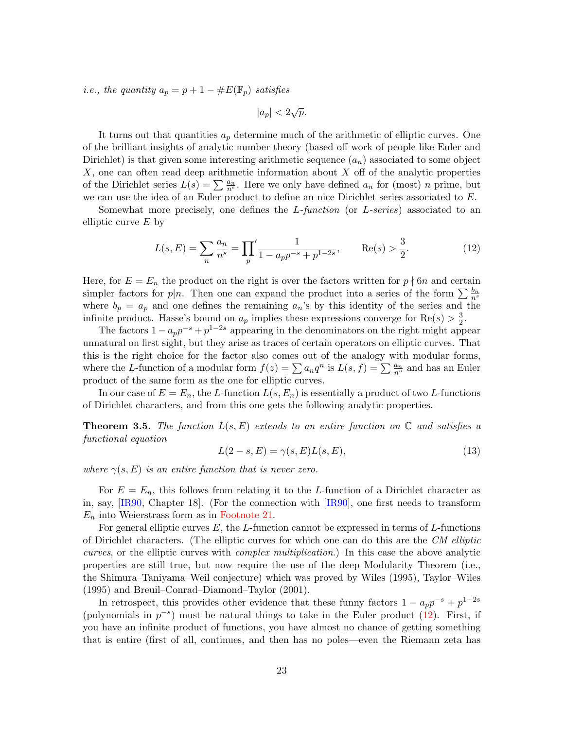*i.e.*, the quantity  $a_p = p + 1 - \#E(\mathbb{F}_p)$  satisfies

 $|a_p| < 2\sqrt{p}$ .

It turns out that quantities  $a_p$  determine much of the arithmetic of elliptic curves. One of the brilliant insights of analytic number theory (based off work of people like Euler and Dirichlet) is that given some interesting arithmetic sequence  $(a_n)$  associated to some object  $X$ , one can often read deep arithmetic information about  $X$  off of the analytic properties of the Dirichlet series  $L(s) = \sum_{n=1}^{\infty} \frac{a_n}{n^s}$ . Here we only have defined  $a_n$  for (most) n prime, but we can use the idea of an Euler product to define an nice Dirichlet series associated to E.

Somewhat more precisely, one defines the L-function (or L-series) associated to an elliptic curve  $E$  by

<span id="page-22-0"></span>
$$
L(s, E) = \sum_{n} \frac{a_n}{n^s} = \prod_{p} \frac{1}{1 - a_p p^{-s} + p^{1-2s}}, \quad \text{Re}(s) > \frac{3}{2}.
$$
 (12)

Here, for  $E = E_n$  the product on the right is over the factors written for  $p \nmid 6n$  and certain simpler factors for  $p|n$ . Then one can expand the product into a series of the form  $\sum_{n=1}^{\infty} \frac{b_n}{n^s}$ where  $b_p = a_p$  and one defines the remaining  $a_n$ 's by this identity of the series and the infinite product. Hasse's bound on  $a_p$  implies these expressions converge for  $\text{Re}(s) > \frac{3}{2}$  $\frac{3}{2}$ .

The factors  $1 - a_p p^{-s} + p^{1-2s}$  appearing in the denominators on the right might appear unnatural on first sight, but they arise as traces of certain operators on elliptic curves. That this is the right choice for the factor also comes out of the analogy with modular forms, where the L-function of a modular form  $f(z) = \sum a_n q^n$  is  $L(s, f) = \sum \frac{a_n}{n^s}$  and has an Euler product of the same form as the one for elliptic curves.

In our case of  $E = E_n$ , the L-function  $L(s, E_n)$  is essentially a product of two L-functions of Dirichlet characters, and from this one gets the following analytic properties.

**Theorem 3.5.** The function  $L(s, E)$  extends to an entire function on  $\mathbb{C}$  and satisfies a functional equation

<span id="page-22-1"></span>
$$
L(2-s,E) = \gamma(s,E)L(s,E),\tag{13}
$$

where  $\gamma(s, E)$  is an entire function that is never zero.

For  $E = E_n$ , this follows from relating it to the L-function of a Dirichlet character as in, say, [\[IR90,](#page-26-13) Chapter 18]. (For the connection with [\[IR90\]](#page-26-13), one first needs to transform  $E_n$  into Weierstrass form as in [Footnote 21.](#page-20-1)

For general elliptic curves  $E$ , the L-function cannot be expressed in terms of L-functions of Dirichlet characters. (The elliptic curves for which one can do this are the CM elliptic curves, or the elliptic curves with complex multiplication.) In this case the above analytic properties are still true, but now require the use of the deep Modularity Theorem (i.e., the Shimura–Taniyama–Weil conjecture) which was proved by Wiles (1995), Taylor–Wiles (1995) and Breuil–Conrad–Diamond–Taylor (2001).

In retrospect, this provides other evidence that these funny factors  $1 - a_p p^{-s} + p^{1-2s}$ (polynomials in  $p^{-s}$ ) must be natural things to take in the Euler product [\(12\)](#page-22-0). First, if you have an infinite product of functions, you have almost no chance of getting something that is entire (first of all, continues, and then has no poles—even the Riemann zeta has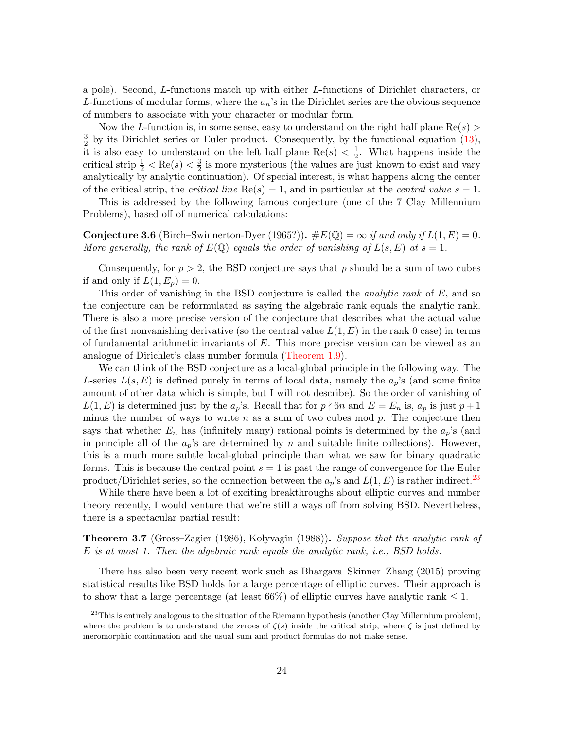a pole). Second, L-functions match up with either L-functions of Dirichlet characters, or L-functions of modular forms, where the  $a_n$ 's in the Dirichlet series are the obvious sequence of numbers to associate with your character or modular form.

Now the L-function is, in some sense, easy to understand on the right half plane  $\text{Re}(s)$ 3  $\frac{3}{2}$  by its Dirichlet series or Euler product. Consequently, by the functional equation [\(13\)](#page-22-1), it is also easy to understand on the left half plane Re $(s) < \frac{1}{2}$  $\frac{1}{2}$ . What happens inside the critical strip  $\frac{1}{2} < \text{Re}(s) < \frac{3}{2}$  $\frac{3}{2}$  is more mysterious (the values are just known to exist and vary analytically by analytic continuation). Of special interest, is what happens along the center of the critical strip, the *critical line*  $\text{Re}(s) = 1$ , and in particular at the *central value*  $s = 1$ .

This is addressed by the following famous conjecture (one of the 7 Clay Millennium Problems), based off of numerical calculations:

**Conjecture 3.6** (Birch–Swinnerton-Dyer (1965?)).  $\#E(\mathbb{Q}) = \infty$  if and only if  $L(1, E) = 0$ . More generally, the rank of  $E(\mathbb{Q})$  equals the order of vanishing of  $L(s, E)$  at  $s = 1$ .

Consequently, for  $p > 2$ , the BSD conjecture says that p should be a sum of two cubes if and only if  $L(1, E_p) = 0$ .

This order of vanishing in the BSD conjecture is called the *analytic rank* of E, and so the conjecture can be reformulated as saying the algebraic rank equals the analytic rank. There is also a more precise version of the conjecture that describes what the actual value of the first nonvanishing derivative (so the central value  $L(1, E)$  in the rank 0 case) in terms of fundamental arithmetic invariants of E. This more precise version can be viewed as an analogue of Dirichlet's class number formula [\(Theorem 1.9\)](#page-10-0).

We can think of the BSD conjecture as a local-global principle in the following way. The L-series  $L(s, E)$  is defined purely in terms of local data, namely the  $a_p$ 's (and some finite amount of other data which is simple, but I will not describe). So the order of vanishing of  $L(1, E)$  is determined just by the  $a_p$ 's. Recall that for  $p \nmid 6n$  and  $E = E_n$  is,  $a_p$  is just  $p + 1$ minus the number of ways to write  $n$  as a sum of two cubes mod  $p$ . The conjecture then says that whether  $E_n$  has (infinitely many) rational points is determined by the  $a_p$ 's (and in principle all of the  $a_p$ 's are determined by n and suitable finite collections). However, this is a much more subtle local-global principle than what we saw for binary quadratic forms. This is because the central point  $s = 1$  is past the range of convergence for the Euler product/Dirichlet series, so the connection between the  $a_p$ 's and  $L(1, E)$  is rather indirect.<sup>[23](#page-23-0)</sup>

While there have been a lot of exciting breakthroughs about elliptic curves and number theory recently, I would venture that we're still a ways off from solving BSD. Nevertheless, there is a spectacular partial result:

**Theorem 3.7** (Gross–Zagier (1986), Kolyvagin (1988)). Suppose that the analytic rank of E is at most 1. Then the algebraic rank equals the analytic rank, i.e., BSD holds.

There has also been very recent work such as Bhargava–Skinner–Zhang (2015) proving statistical results like BSD holds for a large percentage of elliptic curves. Their approach is to show that a large percentage (at least 66%) of elliptic curves have analytic rank  $\leq 1$ .

<span id="page-23-0"></span><sup>&</sup>lt;sup>23</sup>This is entirely analogous to the situation of the Riemann hypothesis (another Clay Millennium problem), where the problem is to understand the zeroes of  $\zeta(s)$  inside the critical strip, where  $\zeta$  is just defined by meromorphic continuation and the usual sum and product formulas do not make sense.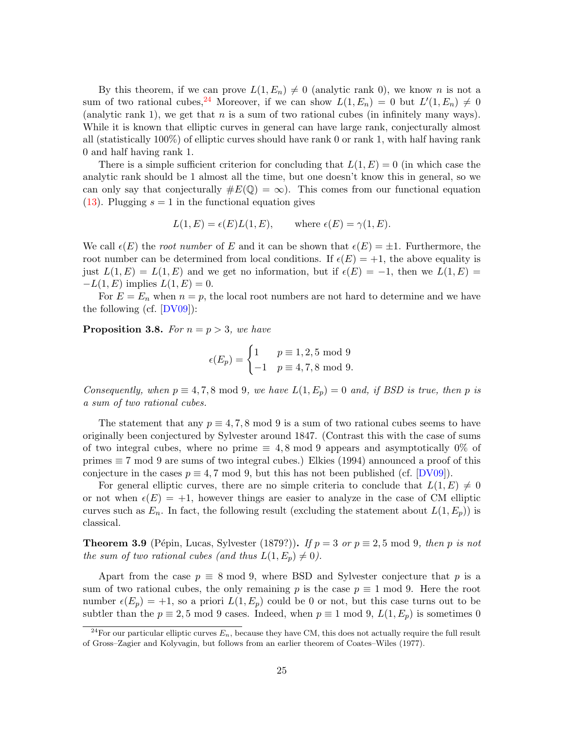By this theorem, if we can prove  $L(1, E_n) \neq 0$  (analytic rank 0), we know n is not a sum of two rational cubes, <sup>[24](#page-24-0)</sup> Moreover, if we can show  $L(1, E_n) = 0$  but  $L'(1, E_n) \neq 0$ (analytic rank 1), we get that  $n$  is a sum of two rational cubes (in infinitely many ways). While it is known that elliptic curves in general can have large rank, conjecturally almost all (statistically 100%) of elliptic curves should have rank 0 or rank 1, with half having rank 0 and half having rank 1.

There is a simple sufficient criterion for concluding that  $L(1, E) = 0$  (in which case the analytic rank should be 1 almost all the time, but one doesn't know this in general, so we can only say that conjecturally  $\#E(\mathbb{Q}) = \infty$ . This comes from our functional equation [\(13\)](#page-22-1). Plugging  $s = 1$  in the functional equation gives

$$
L(1, E) = \epsilon(E)L(1, E)
$$
, where  $\epsilon(E) = \gamma(1, E)$ .

We call  $\epsilon(E)$  the root number of E and it can be shown that  $\epsilon(E) = \pm 1$ . Furthermore, the root number can be determined from local conditions. If  $\epsilon(E) = +1$ , the above equality is just  $L(1, E) = L(1, E)$  and we get no information, but if  $\epsilon(E) = -1$ , then we  $L(1, E) =$  $-L(1, E)$  implies  $L(1, E) = 0$ .

For  $E = E_n$  when  $n = p$ , the local root numbers are not hard to determine and we have the following (cf.  $[DV09]$ ):

**Proposition 3.8.** For  $n = p > 3$ , we have

$$
\epsilon(E_p) = \begin{cases} 1 & p \equiv 1, 2, 5 \mod 9 \\ -1 & p \equiv 4, 7, 8 \mod 9. \end{cases}
$$

Consequently, when  $p \equiv 4, 7, 8 \mod 9$ , we have  $L(1, E_p) = 0$  and, if BSD is true, then p is a sum of two rational cubes.

The statement that any  $p \equiv 4, 7, 8 \mod 9$  is a sum of two rational cubes seems to have originally been conjectured by Sylvester around 1847. (Contrast this with the case of sums of two integral cubes, where no prime  $\equiv 4, 8 \mod 9$  appears and asymptotically 0% of primes ≡ 7 mod 9 are sums of two integral cubes.) Elkies (1994) announced a proof of this conjecture in the cases  $p \equiv 4, 7 \mod 9$ , but this has not been published (cf. [\[DV09\]](#page-26-8)).

For general elliptic curves, there are no simple criteria to conclude that  $L(1, E) \neq 0$ or not when  $\epsilon(E) = +1$ , however things are easier to analyze in the case of CM elliptic curves such as  $E_n$ . In fact, the following result (excluding the statement about  $L(1, E_p)$ ) is classical.

**Theorem 3.9** (Pépin, Lucas, Sylvester (1879?)). If  $p = 3$  or  $p \equiv 2, 5 \mod 9$ , then p is not the sum of two rational cubes (and thus  $L(1, E_p) \neq 0$ ).

Apart from the case  $p \equiv 8 \mod 9$ , where BSD and Sylvester conjecture that p is a sum of two rational cubes, the only remaining p is the case  $p \equiv 1 \mod 9$ . Here the root number  $\epsilon(E_p) = +1$ , so a priori  $L(1, E_p)$  could be 0 or not, but this case turns out to be subtler than the  $p \equiv 2, 5 \mod 9$  cases. Indeed, when  $p \equiv 1 \mod 9$ ,  $L(1, E_p)$  is sometimes 0

<span id="page-24-0"></span><sup>&</sup>lt;sup>24</sup>For our particular elliptic curves  $E_n$ , because they have CM, this does not actually require the full result of Gross–Zagier and Kolyvagin, but follows from an earlier theorem of Coates–Wiles (1977).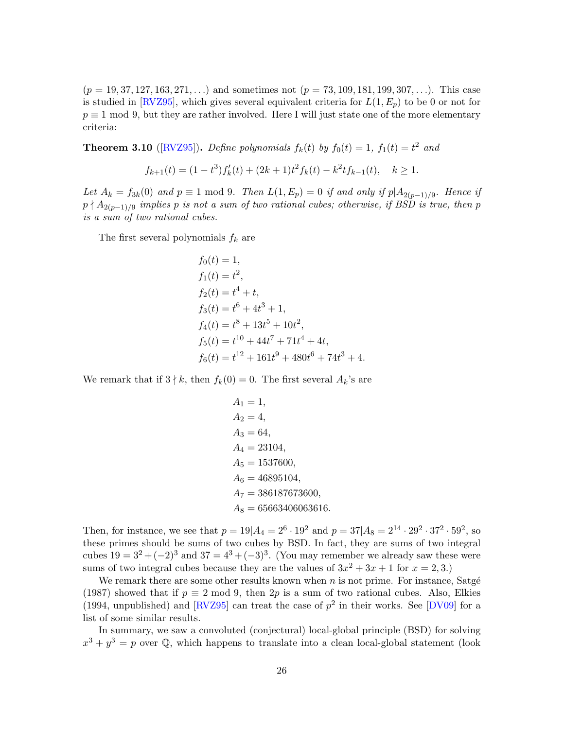$(p = 19, 37, 127, 163, 271, ...)$  and sometimes not  $(p = 73, 109, 181, 199, 307, ...)$ . This case is studied in [\[RVZ95\]](#page-26-7), which gives several equivalent criteria for  $L(1, E_p)$  to be 0 or not for  $p \equiv 1 \mod 9$ , but they are rather involved. Here I will just state one of the more elementary criteria:

<span id="page-25-0"></span>**Theorem 3.10** ([\[RVZ95\]](#page-26-7)). Define polynomials  $f_k(t)$  by  $f_0(t) = 1$ ,  $f_1(t) = t^2$  and

$$
f_{k+1}(t) = (1 - t^3) f'_k(t) + (2k+1)t^2 f_k(t) - k^2 t f_{k-1}(t), \quad k \ge 1.
$$

Let  $A_k = f_{3k}(0)$  and  $p \equiv 1 \mod 9$ . Then  $L(1, E_p) = 0$  if and only if  $p|A_{2(p-1)/9}$ . Hence if  $p \nmid A_{2(p-1)/9}$  implies p is not a sum of two rational cubes; otherwise, if BSD is true, then p is a sum of two rational cubes.

The first several polynomials  $f_k$  are

$$
f_0(t) = 1,
$$
  
\n
$$
f_1(t) = t^2,
$$
  
\n
$$
f_2(t) = t^4 + t,
$$
  
\n
$$
f_3(t) = t^6 + 4t^3 + 1,
$$
  
\n
$$
f_4(t) = t^8 + 13t^5 + 10t^2,
$$
  
\n
$$
f_5(t) = t^{10} + 44t^7 + 71t^4 + 4t,
$$
  
\n
$$
f_6(t) = t^{12} + 161t^9 + 480t^6 + 74t^3 + 4.
$$

We remark that if  $3 \nmid k$ , then  $f_k(0) = 0$ . The first several  $A_k$ 's are

$$
A_1 = 1,
$$
  
\n
$$
A_2 = 4,
$$
  
\n
$$
A_3 = 64,
$$
  
\n
$$
A_4 = 23104,
$$
  
\n
$$
A_5 = 1537600,
$$
  
\n
$$
A_6 = 46895104,
$$
  
\n
$$
A_7 = 386187673600,
$$
  
\n
$$
A_8 = 65663406063616.
$$

Then, for instance, we see that  $p = 19|A_4 = 2^6 \cdot 19^2$  and  $p = 37|A_8 = 2^{14} \cdot 29^2 \cdot 37^2 \cdot 59^2$ , so these primes should be sums of two cubes by BSD. In fact, they are sums of two integral cubes  $19 = 3^2 + (-2)^3$  and  $37 = 4^3 + (-3)^3$ . (You may remember we already saw these were sums of two integral cubes because they are the values of  $3x^2 + 3x + 1$  for  $x = 2, 3$ .)

We remark there are some other results known when  $n$  is not prime. For instance, Satgé (1987) showed that if  $p \equiv 2 \mod 9$ , then  $2p$  is a sum of two rational cubes. Also, Elkies (1994, unpublished) and [\[RVZ95\]](#page-26-7) can treat the case of  $p^2$  in their works. See [\[DV09\]](#page-26-8) for a list of some similar results.

In summary, we saw a convoluted (conjectural) local-global principle (BSD) for solving  $x^3 + y^3 = p$  over Q, which happens to translate into a clean local-global statement (look